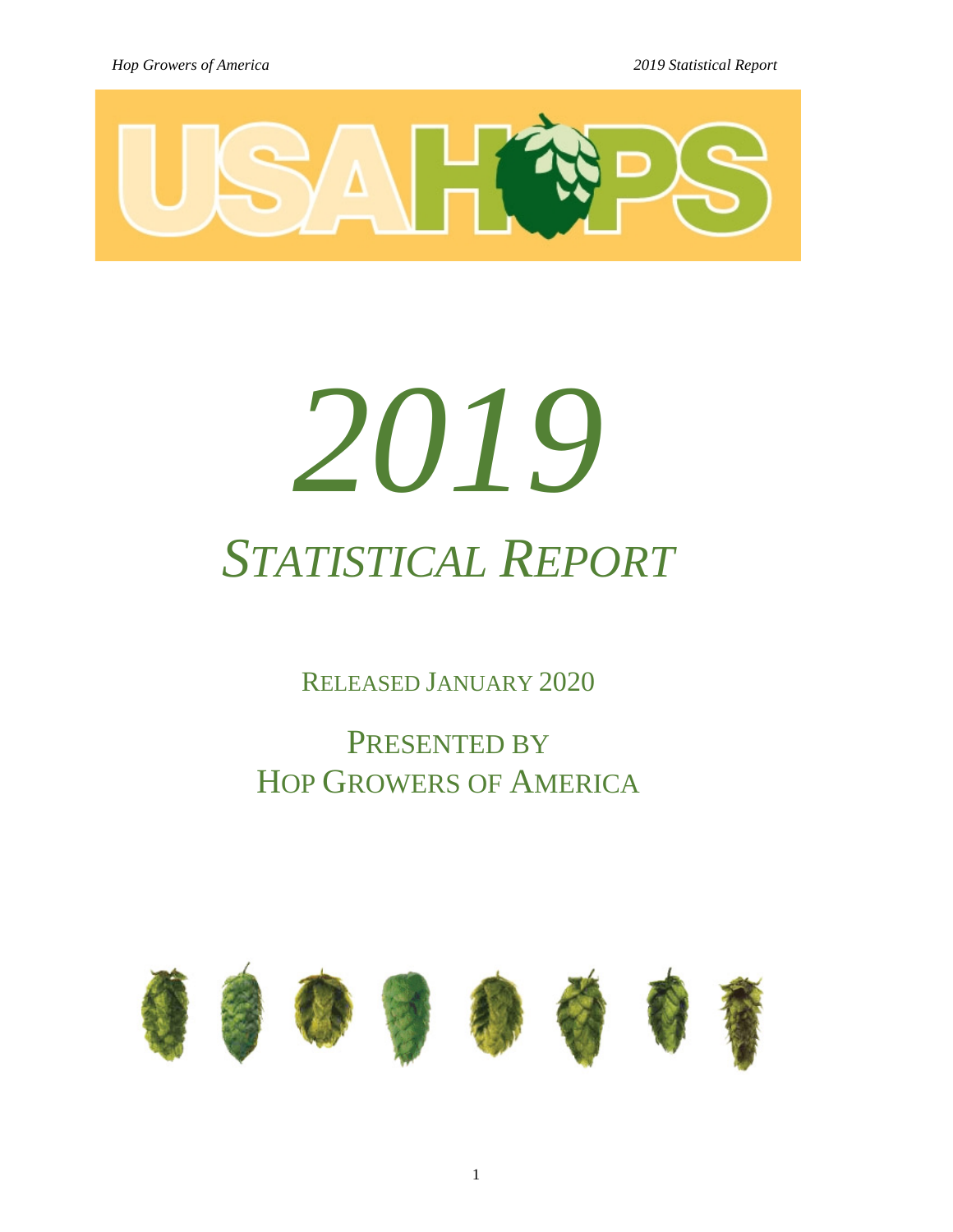

# *2019 STATISTICAL REPORT*

RELEASED JANUARY 2020

PRESENTED BY HOP GROWERS OF AMERICA

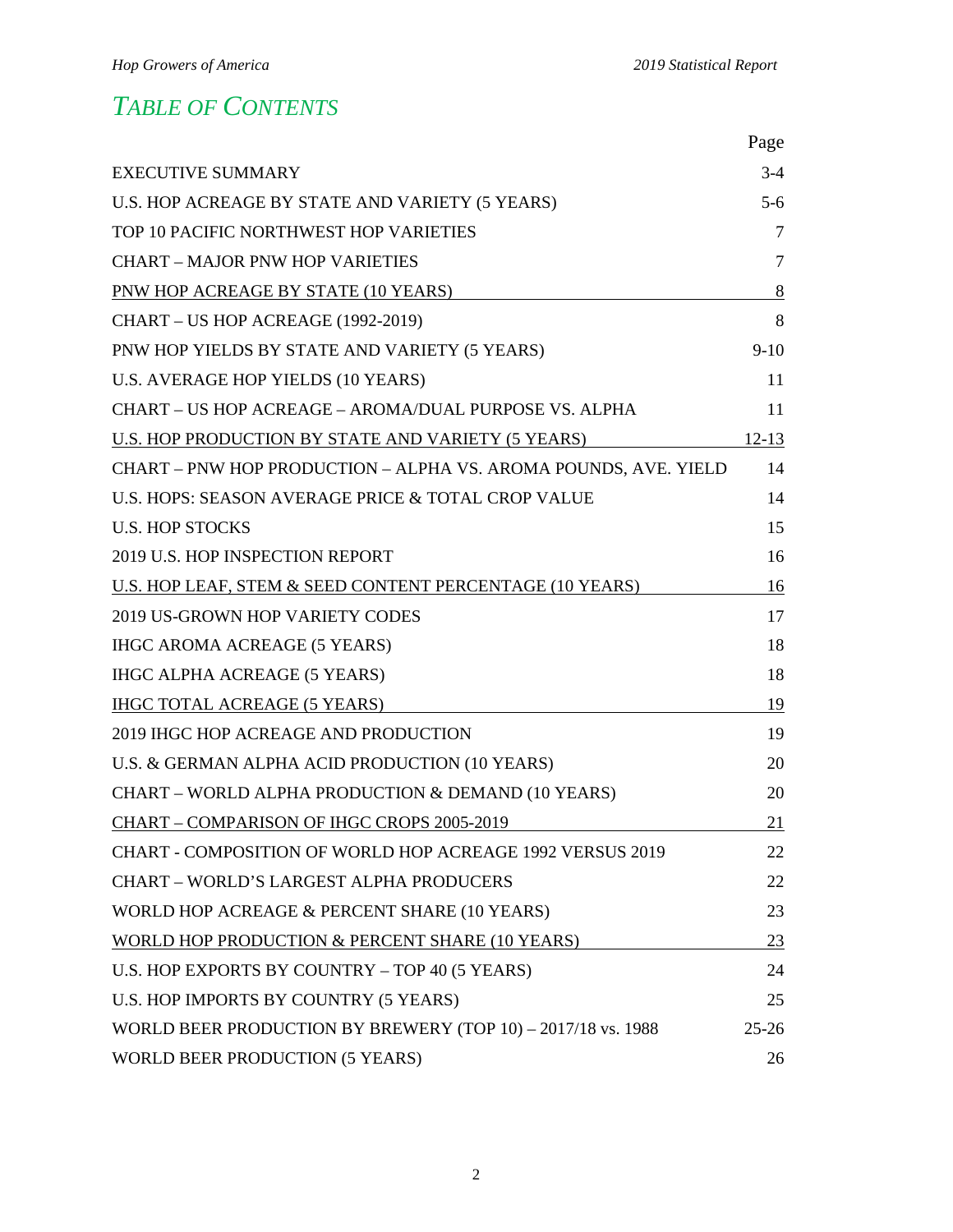# *TABLE OF CONTENTS*

|                                                                 | Page      |
|-----------------------------------------------------------------|-----------|
| <b>EXECUTIVE SUMMARY</b>                                        | $3-4$     |
| U.S. HOP ACREAGE BY STATE AND VARIETY (5 YEARS)                 | $5-6$     |
| TOP 10 PACIFIC NORTHWEST HOP VARIETIES                          | 7         |
| <b>CHART - MAJOR PNW HOP VARIETIES</b>                          | 7         |
| PNW HOP ACREAGE BY STATE (10 YEARS)                             | 8         |
| CHART - US HOP ACREAGE (1992-2019)                              | 8         |
| PNW HOP YIELDS BY STATE AND VARIETY (5 YEARS)                   | $9-10$    |
| U.S. AVERAGE HOP YIELDS (10 YEARS)                              | 11        |
| CHART - US HOP ACREAGE - AROMA/DUAL PURPOSE VS. ALPHA           | 11        |
| U.S. HOP PRODUCTION BY STATE AND VARIETY (5 YEARS)              | $12-13$   |
| CHART - PNW HOP PRODUCTION - ALPHA VS. AROMA POUNDS, AVE. YIELD | 14        |
| U.S. HOPS: SEASON AVERAGE PRICE & TOTAL CROP VALUE              | 14        |
| <b>U.S. HOP STOCKS</b>                                          | 15        |
| 2019 U.S. HOP INSPECTION REPORT                                 | 16        |
| U.S. HOP LEAF, STEM & SEED CONTENT PERCENTAGE (10 YEARS)        | 16        |
| 2019 US-GROWN HOP VARIETY CODES                                 | 17        |
| <b>IHGC AROMA ACREAGE (5 YEARS)</b>                             | 18        |
| <b>IHGC ALPHA ACREAGE (5 YEARS)</b>                             | 18        |
| <b>IHGC TOTAL ACREAGE (5 YEARS)</b>                             | 19        |
| 2019 IHGC HOP ACREAGE AND PRODUCTION                            | 19        |
| U.S. & GERMAN ALPHA ACID PRODUCTION (10 YEARS)                  | 20        |
| CHART - WORLD ALPHA PRODUCTION & DEMAND (10 YEARS)              | 20        |
| CHART - COMPARISON OF IHGC CROPS 2005-2019                      | 21        |
| CHART - COMPOSITION OF WORLD HOP ACREAGE 1992 VERSUS 2019       | 22        |
| <b>CHART - WORLD'S LARGEST ALPHA PRODUCERS</b>                  | 22        |
| WORLD HOP ACREAGE & PERCENT SHARE (10 YEARS)                    | 23        |
| WORLD HOP PRODUCTION & PERCENT SHARE (10 YEARS)                 | 23        |
| U.S. HOP EXPORTS BY COUNTRY - TOP 40 (5 YEARS)                  | 24        |
| U.S. HOP IMPORTS BY COUNTRY (5 YEARS)                           | 25        |
| WORLD BEER PRODUCTION BY BREWERY (TOP 10) - 2017/18 vs. 1988    | $25 - 26$ |
| WORLD BEER PRODUCTION (5 YEARS)                                 | 26        |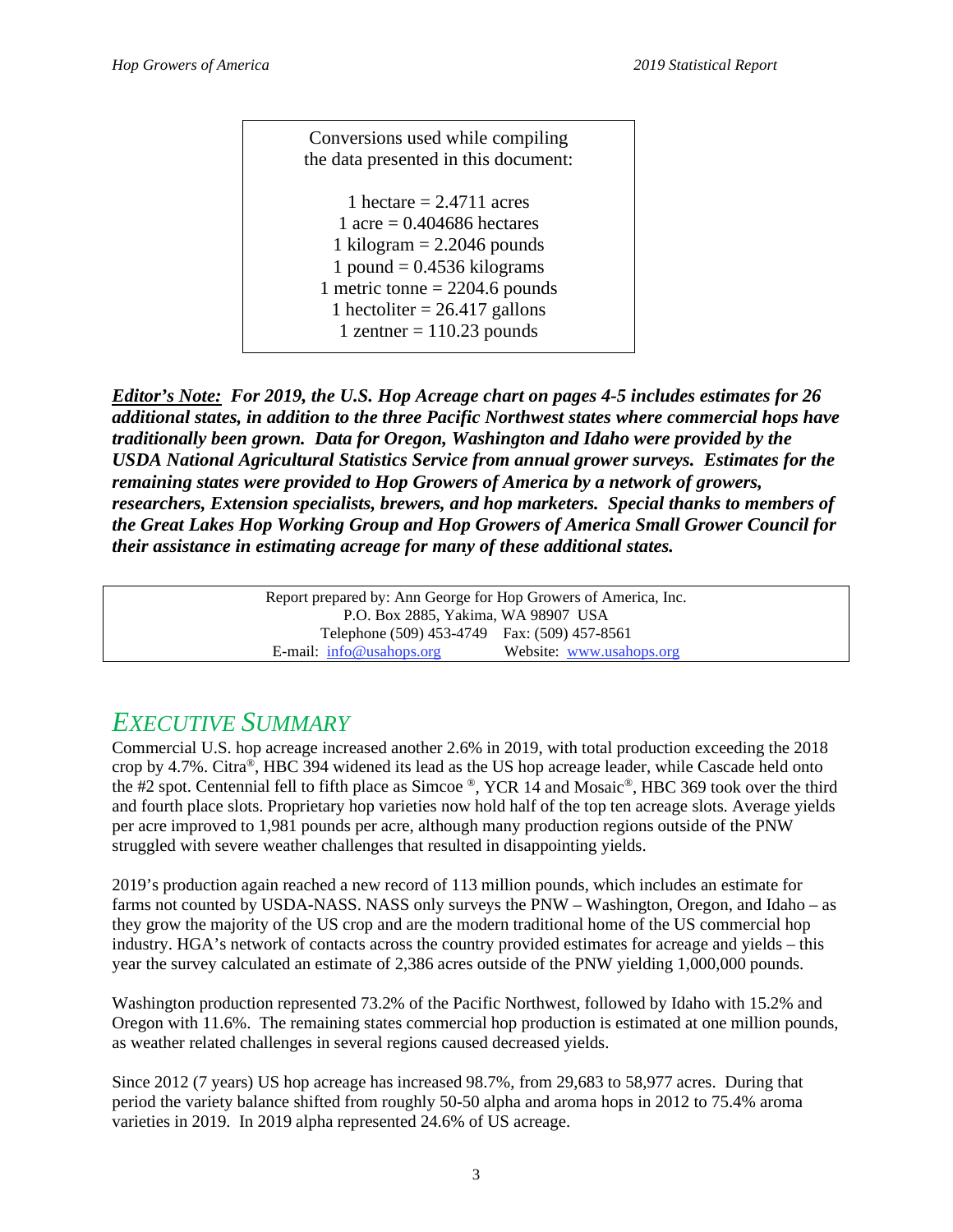Conversions used while compiling the data presented in this document: 1 hectare  $= 2.4711$  acres 1 acre =  $0.404686$  hectares 1 kilogram  $= 2.2046$  pounds 1 pound  $= 0.4536$  kilograms 1 metric tonne  $= 2204.6$  pounds 1 hectoliter  $= 26.417$  gallons 1 zentner  $= 110.23$  pounds

*Editor's Note: For 2019, the U.S. Hop Acreage chart on pages 4-5 includes estimates for 26 additional states, in addition to the three Pacific Northwest states where commercial hops have traditionally been grown. Data for Oregon, Washington and Idaho were provided by the USDA National Agricultural Statistics Service from annual grower surveys. Estimates for the remaining states were provided to Hop Growers of America by a network of growers, researchers, Extension specialists, brewers, and hop marketers. Special thanks to members of the Great Lakes Hop Working Group and Hop Growers of America Small Grower Council for their assistance in estimating acreage for many of these additional states.* 

> Report prepared by: Ann George for Hop Growers of America, Inc. P.O. Box 2885, Yakima, WA 98907 USA Telephone (509) 453-4749 Fax: (509) 457-8561 E-mail: [info@usahops.org](mailto:info@usahops.org) Website: [www.usahops.org](http://www.usahops.org/)

# *EXECUTIVE SUMMARY*

Commercial U.S. hop acreage increased another 2.6% in 2019, with total production exceeding the 2018 crop by 4.7%. Citra®, HBC 394 widened its lead as the US hop acreage leader, while Cascade held onto the #2 spot. Centennial fell to fifth place as Simcoe ®, YCR 14 and Mosaic®, HBC 369 took over the third and fourth place slots. Proprietary hop varieties now hold half of the top ten acreage slots. Average yields per acre improved to 1,981 pounds per acre, although many production regions outside of the PNW struggled with severe weather challenges that resulted in disappointing yields.

2019's production again reached a new record of 113 million pounds, which includes an estimate for farms not counted by USDA-NASS. NASS only surveys the PNW – Washington, Oregon, and Idaho – as they grow the majority of the US crop and are the modern traditional home of the US commercial hop industry. HGA's network of contacts across the country provided estimates for acreage and yields – this year the survey calculated an estimate of 2,386 acres outside of the PNW yielding 1,000,000 pounds.

Washington production represented 73.2% of the Pacific Northwest, followed by Idaho with 15.2% and Oregon with 11.6%. The remaining states commercial hop production is estimated at one million pounds, as weather related challenges in several regions caused decreased yields.

Since 2012 (7 years) US hop acreage has increased 98.7%, from 29,683 to 58,977 acres. During that period the variety balance shifted from roughly 50-50 alpha and aroma hops in 2012 to 75.4% aroma varieties in 2019. In 2019 alpha represented 24.6% of US acreage.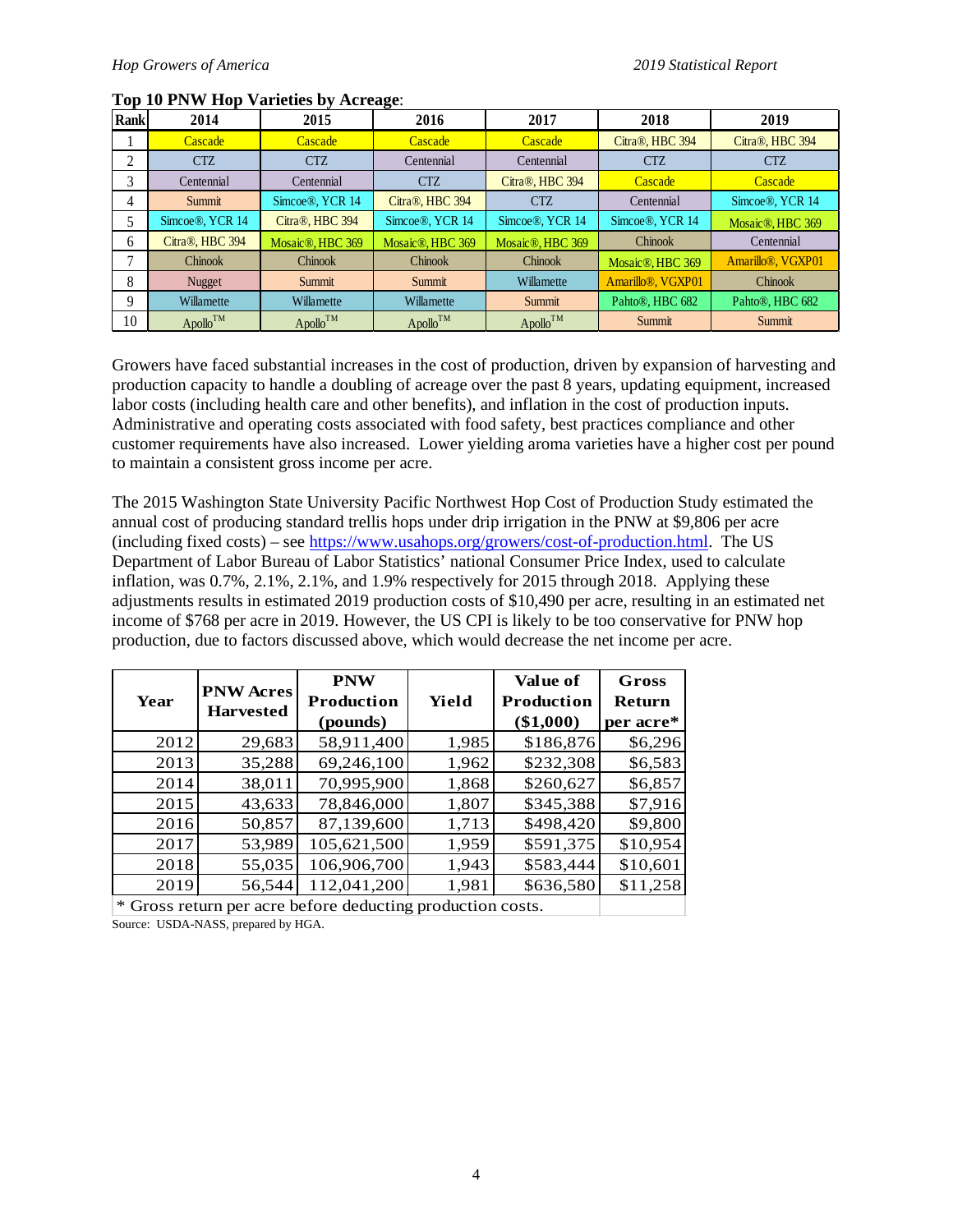| Rankl | 2014            | 2015                          | 2016             | 2017             | 2018                           | 2019                           |
|-------|-----------------|-------------------------------|------------------|------------------|--------------------------------|--------------------------------|
|       | Cascade         | Cascade                       | Cascade          | Cascade          | Citra®, HBC 394                | Citra®, HBC 394                |
| ◠     | <b>CTZ</b>      | <b>CTZ</b>                    | Centennial       | Centennial       | <b>CTZ</b>                     | <b>CTZ</b>                     |
| 3     | Centennial      | Centennial                    | <b>CTZ</b>       | Citra®, HBC 394  | Cascade                        | Cascade                        |
| 4     | Summit          | Simcoe®, YCR 14               | Citra®, HBC 394  | <b>CTZ</b>       | Centennial                     | Simcoe®, YCR 14                |
| 5     | Simcoe®, YCR 14 | Citra®, HBC 394               | Simcoe®, YCR 14  | Simcoe®, YCR 14  | Simcoe®, YCR 14                | Mosaic <sup>®</sup> , HBC 369  |
| 6     | Citra®, HBC 394 | Mosaic <sup>®</sup> , HBC 369 | Mosaic®, HBC 369 | Mosaic®, HBC 369 | Chinook                        | Centennial                     |
| ⇁     | Chinook         | <b>Chinook</b>                | <b>Chinook</b>   | <b>Chinook</b>   | Mosaic <sup>®</sup> . HBC 369  | Amarillo <sup>®</sup> , VGXP01 |
| 8     | Nugget          | Summit                        | Summit           | Willamette       | Amarillo <sup>®</sup> , VGXP01 | <b>Chinook</b>                 |
| 9     | Willamette      | Willamette                    | Willamette       | Summit           | Pahto®, HBC 682                | Pahto®, HBC 682                |
| 10    | $Apollo^{TM}$   | $Apollo^{TM}$                 | $Apollo^{TM}$    | $Apollo^{TM}$    | Summit                         | Summit                         |

## **Top 10 PNW Hop Varieties by Acreage**:

Growers have faced substantial increases in the cost of production, driven by expansion of harvesting and production capacity to handle a doubling of acreage over the past 8 years, updating equipment, increased labor costs (including health care and other benefits), and inflation in the cost of production inputs. Administrative and operating costs associated with food safety, best practices compliance and other customer requirements have also increased. Lower yielding aroma varieties have a higher cost per pound to maintain a consistent gross income per acre.

The 2015 Washington State University Pacific Northwest Hop Cost of Production Study estimated the annual cost of producing standard trellis hops under drip irrigation in the PNW at \$9,806 per acre (including fixed costs) – see [https://www.usahops.org/growers/cost-of-production.html.](https://www.usahops.org/growers/cost-of-production.html) The US Department of Labor Bureau of Labor Statistics' national Consumer Price Index, used to calculate inflation, was 0.7%, 2.1%, 2.1%, and 1.9% respectively for 2015 through 2018. Applying these adjustments results in estimated 2019 production costs of \$10,490 per acre, resulting in an estimated net income of \$768 per acre in 2019. However, the US CPI is likely to be too conservative for PNW hop production, due to factors discussed above, which would decrease the net income per acre.

| Year | <b>PNW Acres</b> | <b>PNW</b><br>Production<br>Yield                          |       | Value of<br>Production | Gross<br><b>Return</b> |
|------|------------------|------------------------------------------------------------|-------|------------------------|------------------------|
|      | <b>Harvested</b> | (pounds)                                                   |       | $(\$1,000)$            | per acre*              |
| 2012 | 29,683           | 58,911,400                                                 | 1,985 | \$186,876              | \$6,296                |
| 2013 | 35,288           | 69,246,100                                                 | 1,962 | \$232,308              | \$6,583                |
| 2014 | 38,011           | 70,995,900                                                 | 1,868 | \$260,627              | \$6,857                |
| 2015 | 43,633           | 78,846,000                                                 | 1,807 | \$345,388              | \$7,916                |
| 2016 | 50,857           | 87,139,600                                                 | 1,713 | \$498,420              | \$9,800                |
| 2017 | 53,989           | 105,621,500                                                | 1,959 | \$591,375              | \$10,954               |
| 2018 | 55,035           | 106,906,700                                                | 1,943 | \$583,444              | \$10,601               |
| 2019 | 56,544           | 112,041,200                                                | 1,981 | \$636,580              | \$11,258               |
|      |                  | * Gross return per acre before deducting production costs. |       |                        |                        |

Source: USDA-NASS, prepared by HGA.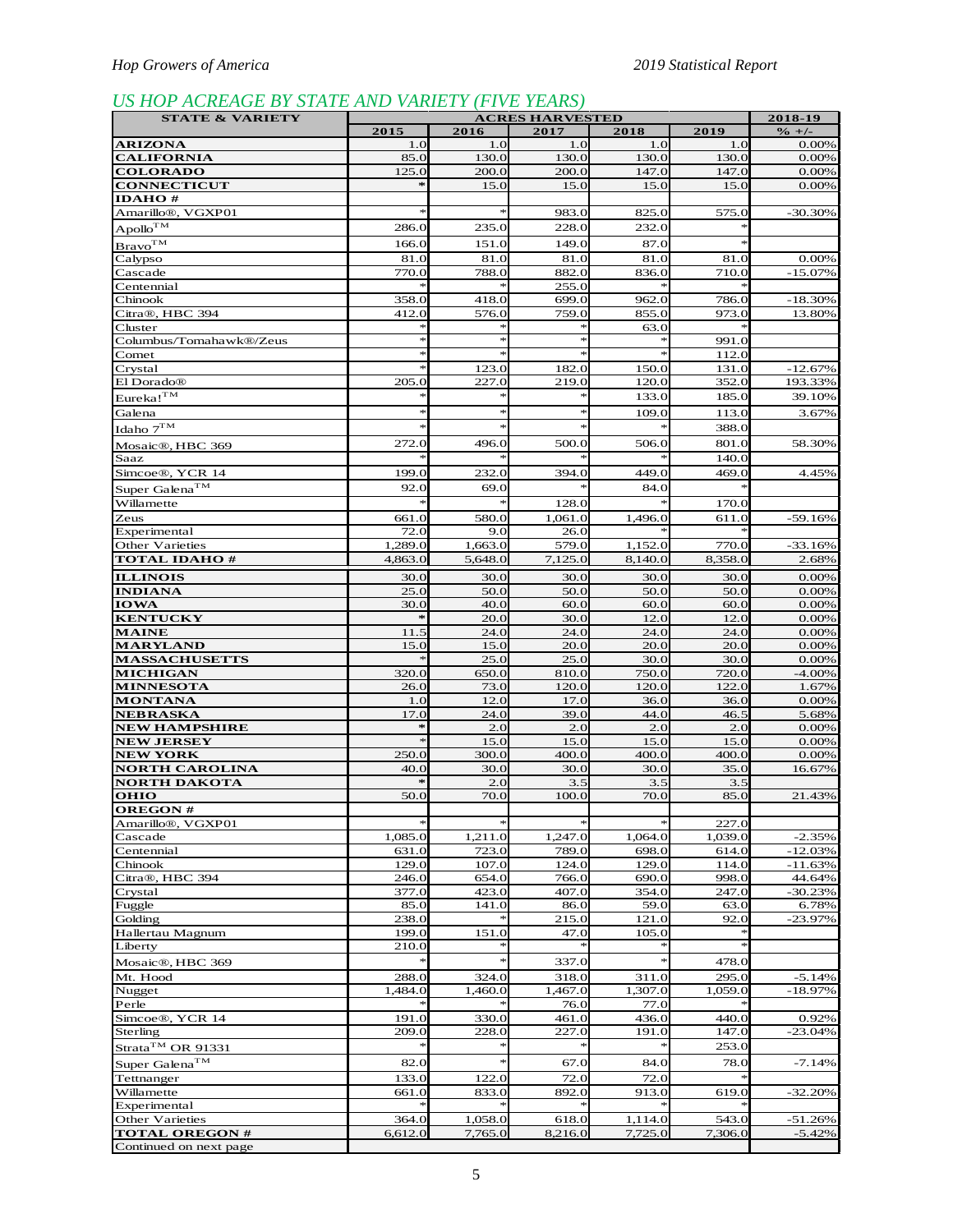# *US HOP ACREAGE BY STATE AND VARIETY (FIVE YEARS)*

| <b>STATE &amp; VARIETY</b>               |                  |                  | <b>ACRES HARVESTED</b> |                  |                  | 2018-19                    |
|------------------------------------------|------------------|------------------|------------------------|------------------|------------------|----------------------------|
| <b>ARIZONA</b>                           | 2015<br>1.0      | 2016<br>1.0      | 2017<br>1.0            | 2018<br>1.0      | 2019<br>1.0      | $\frac{9}{6}$ +/-<br>0.00% |
| <b>CALIFORNIA</b>                        | 85.0             | 130.0            | 130.0                  | 130.0            | 130.0            | 0.00%                      |
| <b>COLORADO</b>                          | 125.0            | 200.0            | 200.0                  | 147.0            | 147.0            | 0.00%                      |
| <b>CONNECTICUT</b>                       |                  | 15.0             | 15.0                   | 15.0             | 15.0             | 0.00%                      |
| <b>IDAHO#</b>                            |                  |                  |                        |                  |                  |                            |
| Amarillo <sup>®</sup> , VGXP01           |                  |                  | 983.0                  | 825.0            | 575.0            | -30.30%                    |
| $Apollo^{TM}$                            | 286.0            | 235.0            | 228.0                  | 232.0            |                  |                            |
| Bravo <sup>TM</sup>                      | 166.0            | 151.0            | 149.0                  | 87.0             |                  |                            |
| Calypso<br>Cascade                       | 81.0<br>770.0    | 81.0<br>788.0    | 81.0<br>882.0          | 81.0<br>836.0    | 81.0<br>710.0    | 0.00%<br>$-15.07%$         |
| Centennial                               |                  |                  | 255.0                  |                  |                  |                            |
| Chinook                                  | 358.0            | 418.0            | 699.0                  | 962.0            | 786.0            | $-18.30%$                  |
| Citra®, HBC 394                          | 412.0            | 576.0            | 759.0                  | 855.0            | 973.0            | 13.80%                     |
| Cluster                                  |                  | $\frac{1}{2}$    | $\ast$<br>$\ast$       | 63.0             |                  |                            |
| Columbus/Tomahawk®/Zeus<br>Comet         |                  |                  |                        |                  | 991.0<br>112.0   |                            |
| Crystal                                  |                  | 123.0            | 182.0                  | 150.0            | 131.0            | $-12.67%$                  |
| El Dorado <sup>®</sup>                   | 205.0            | 227.0            | 219.0                  | 120.0            | 352.0            | 193.33%                    |
| $Eureka!^{TM}$                           |                  |                  | $\ast$                 | 133.0            | 185.0            | 39.10%                     |
| Galena                                   |                  | $\ast$           | $\ast$                 | 109.0            | 113.0            | 3.67%                      |
| Idaho $7^{TM}$                           |                  |                  | $\ast$                 |                  | 388.0            |                            |
| Mosaic <sup>®</sup> , HBC 369            | 272.0            | 496.0            | 500.0                  | 506.0            | 801.0            | 58.30%                     |
| Saaz                                     |                  |                  |                        |                  | 140.0            |                            |
| Simcoe <sup>®</sup> , YCR 14             | 199.0            | 232.0            | 394.0                  | 449.C            | 469.0            | 4.45%                      |
| Super Galena <sup>TM</sup><br>Willamette | 92.0             | 69.0             |                        | 84.0             |                  |                            |
| Zeus                                     | 661.0            | 580.0            | 128.0<br>1,061.0       | 1,496.0          | 170.0<br>611.0   | $-59.16%$                  |
| Experimental                             | 72.0             | 9.0              | 26.0                   |                  |                  |                            |
| Other Varieties                          | 1,289.0          | 1,663.0          | 579.0                  | 1,152.0          | 770.0            | $-33.16%$                  |
| <b>TOTAL IDAHO#</b>                      | 4,863.0          | 5,648.0          | 7,125.0                | 8,140.0          | 8,358.0          | 2.68%                      |
| <b>ILLINOIS</b>                          | 30.0             | 30.0             | 30.0                   | 30.0             | 30.0             | 0.00%                      |
| <b>INDIANA</b>                           | 25.0             | 50.0             | 50.0                   | 50.0             | 50.0             | 0.00%                      |
| <b>IOWA</b>                              | 30.0<br>$\ast$   | 40.0             | 60.0                   | 60.0             | 60.0             | 0.00%                      |
| <b>KENTUCKY</b><br><b>MAINE</b>          | 11.5             | 20.0<br>24.0     | 30.0<br>24.0           | 12.0<br>24.0     | 12.0<br>24.0     | 0.00%<br>0.00%             |
| <b>MARYLAND</b>                          | 15.0             | 15.0             | 20.0                   | 20.0             | 20.0             | 0.00%                      |
| <b>MASSACHUSETTS</b>                     |                  | 25.0             | 25.0                   | 30.0             | 30.0             | 0.00%                      |
| <b>MICHIGAN</b>                          | 320.0            | 650.0            | 810.0                  | 750.0            | 720.0            | $-4.00\%$                  |
| <b>MINNESOTA</b>                         | 26.0             | 73.0             | 120.0                  | 120.0            | 122.0            | 1.67%                      |
| <b>MONTANA</b><br><b>NEBRASKA</b>        | 1.0<br>17.0      | 12.0<br>24.0     | 17.0<br>39.0           | 36.0<br>44.0     | 36.0<br>46.5     | 0.00%<br>5.68%             |
| <b>NEW HAMPSHIRE</b>                     | $\ast$           | 2.0              | 2.0                    | 2.0              | 2.0              | 0.00%                      |
| <b>NEW JERSEY</b>                        |                  | 15.0             | 15.0                   | 15.0             | 15.0             | 0.00%                      |
| <b>NEW YORK</b>                          | 250.0            | 300.0            | 400.0                  | 400.0            | 400.0            | 0.00%                      |
| <b>NORTH CAROLINA</b>                    | 40.0             | 30.0             | 30.0                   | 30.0             | 35.0             | 16.67%                     |
| <b>NORTH DAKOTA</b><br><b>OHIO</b>       | 50.0             | 2.0<br>70.0      | 3.5<br>100.0           | 3.5<br>70.0      | 3.5<br>85.0      | 21.43%                     |
| <b>OREGON#</b>                           |                  |                  |                        |                  |                  |                            |
| Amarillo <sup>®</sup> , VGXP01           | $\approx$        | $\ast$           | $\ast$                 | $\frac{1}{25}$   | 227.0            |                            |
| Cascade                                  | 1,085.0          | 1,211.0          | 1,247.0                | 1,064.0          | 1,039.0          | $-2.35%$                   |
| Centennial                               | 631.0            | 723.0            | 789.0                  | 698.0            | 614.0            | $-12.03%$                  |
| Chinook<br>Citra®, HBC 394               | 129.0            | 107.0            | 124.0                  | 129.0            | 114.0            | $-11.63%$                  |
| Crystal                                  | 246.0<br>377.0   | 654.0<br>423.0   | 766.0<br>407.0         | 690.0<br>354.0   | 998.0<br>247.0   | 44.64%<br>$-30.23%$        |
| Fuggle                                   | 85.0             | 141.0            | 86.0                   | 59.0             | 63.0             | 6.78%                      |
| Golding                                  | 238.0            |                  | 215.0                  | 121.0            | 92.0             | $-23.97%$                  |
| Hallertau Magnum                         | 199.0            | 151.0            | 47.0                   | 105.0            |                  |                            |
| Liberty                                  | 210.0            |                  |                        |                  |                  |                            |
| Mosaic®, HBC 369                         |                  |                  | 337.0                  |                  | 478.0            |                            |
| Mt. Hood<br>Nugget                       | 288.0<br>1,484.0 | 324.0<br>1,460.0 | 318.0<br>1,467.0       | 311.0<br>1,307.0 | 295.0<br>1,059.0 | $-5.14%$<br>$-18.97%$      |
| Perle                                    |                  |                  | 76.0                   | 77.0             |                  |                            |
| Simcoe®, YCR 14                          | 191.0            | 330.0            | 461.0                  | 436.0            | 440.0            | 0.92%                      |
| Sterling                                 | 209.0            | 228.0            | 227.0                  | 191.0            | 147.0            | $-23.04%$                  |
| Strata <sup>TM</sup> OR 91331            |                  |                  | $\ast$                 |                  | 253.0            |                            |
| Super Galena <sup>TM</sup>               | 82.0             | $\approx$        | 67.0                   | 84.0             | 78.0             | $-7.14%$                   |
| Tettnanger                               | 133.0            | 122.0            | 72.0                   | 72.0             |                  |                            |
| Willamette<br>Experimental               | 661.0            | 833.0            | 892.0                  | 913.0            | 619.0            | $-32.20%$                  |
| Other Varieties                          | 364.0            | 1,058.0          | 618.0                  | 1,114.0          | 543.0            | $-51.26%$                  |
| <b>TOTAL OREGON#</b>                     | 6,612.0          | 7,765.0          | 8,216.0                | 7,725.0          | 7,306.0          | $-5.42%$                   |
| Continued on next page                   |                  |                  |                        |                  |                  |                            |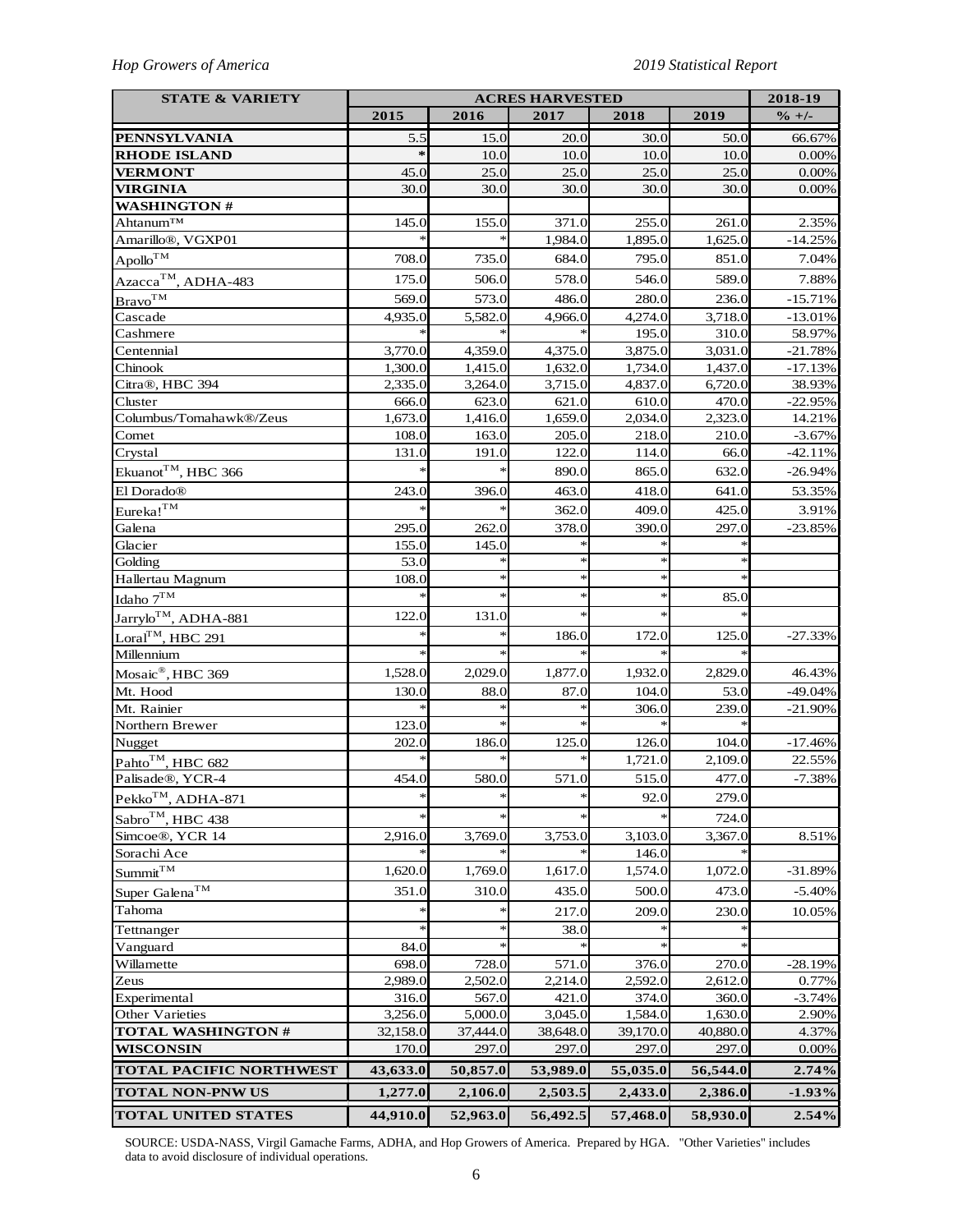## *Hop Growers of America 2019 Statistical Report*

| <b>STATE &amp; VARIETY</b>                               | <b>ACRES HARVESTED</b> |                  |                  |                  |                  | 2018-19           |
|----------------------------------------------------------|------------------------|------------------|------------------|------------------|------------------|-------------------|
|                                                          | 2015                   | 2016             | 2017             | 2018             | 2019             | $\frac{9}{6}$ +/- |
| <b>PENNSYLVANIA</b>                                      | 5.5                    | 15.0             | 20.0             | 30.0             | 50.0             | 66.67%            |
| <b>RHODE ISLAND</b>                                      | $\gg$                  | 10.0             | 10.0             | 10.0             | 10.0             | 0.00%             |
| <b>VERMONT</b>                                           | 45.0                   | 25.0             | 25.0             | 25.0             | 25.0             | 0.00%             |
| <b>VIRGINIA</b>                                          | 30.0                   | 30.0             | 30.0             | 30.0             | 30.0             | 0.00%             |
| <b>WASHINGTON#</b>                                       |                        |                  |                  |                  |                  |                   |
| Ahtanum™                                                 | 145.0                  | 155.0            | 371.0            | 255.0            | 261.0            | 2.35%             |
| Amarillo <sup>®</sup> , VGXP01                           |                        |                  | 1,984.0          | 1,895.0          | 1,625.0          | $-14.25%$         |
| $\mathrm {Apollo}^{\mathrm {TM}}$                        | 708.0                  | 735.0            | 684.0            | 795.0            | 851.0            | 7.04%             |
| Azacca <sup>TM</sup> , ADHA-483                          | 175.0                  | 506.0            | 578.0            | 546.0            | 589.0            | 7.88%             |
| Bravo <sup>TM</sup>                                      | 569.0                  | 573.0            | 486.0            | 280.0            | 236.0            | $-15.71%$         |
| Cascade                                                  | 4,935.0                | 5,582.0          | 4,966.0          | 4,274.0          | 3,718.0          | $-13.01%$         |
| Cashmere                                                 |                        |                  |                  | 195.0            | 310.0            | 58.97%            |
| Centennial                                               | 3,770.0                | 4,359.0          | 4,375.0          | 3,875.0          | 3,031.0          | $-21.78%$         |
| Chinook                                                  | 1,300.0                | 1,415.0          | 1,632.0          | 1,734.0          | 1,437.0          | $-17.13%$         |
| Citra®, HBC 394                                          | 2,335.0                | 3,264.0          | 3,715.0          | 4,837.0          | 6,720.0          | 38.93%            |
| Cluster                                                  | 666.0                  | 623.0            | 621.0            | 610.0            | 470.0            | $-22.95%$         |
| Columbus/Tomahawk®/Zeus                                  | 1,673.0                | 1,416.0          | 1,659.0          | 2,034.0          | 2,323.0          | 14.21%            |
| Comet                                                    | 108.0                  | 163.0            | 205.0            | 218.0            | 210.0            | $-3.67%$          |
| Crystal                                                  | 131.0                  | 191.0            | 122.0            | 114.0            | 66.0             | $-42.11%$         |
| Ekuanot <sup>TM</sup> , HBC 366                          |                        |                  | 890.0            | 865.0            | 632.0            | $-26.94%$         |
| El Dorado®                                               | 243.0                  | 396.0            | 463.0            | 418.0            | 641.0            | 53.35%            |
| $Eureka!^{TM}$                                           |                        |                  | 362.0            | 409.0            | 425.0            | 3.91%             |
| Galena                                                   | 295.0                  | 262.0            | 378.0            | 390.0            | 297.0            | $-23.85%$         |
| Glacier                                                  | 155.0                  | 145.0            |                  |                  |                  |                   |
| Golding                                                  | 53.0                   |                  | $\ast$           | $\star$          |                  |                   |
| Hallertau Magnum                                         | 108.0                  | $\ast$           | $\ast$           | $\ast$           | $\ast$           |                   |
| Idaho $7^{TM}$                                           |                        | $\ast$           | $\ast$           | $\ast$           | 85.0             |                   |
| Jarrylo <sup>TM</sup> , ADHA-881                         | 122.0                  | 131.0            | $\ast$           | $\ast$           | ×                |                   |
| Loral <sup>TM</sup> , HBC 291                            | $\ast$                 | $\ast$           | 186.0            | 172.0            | 125.0            | $-27.33%$         |
| Millennium                                               |                        |                  |                  |                  |                  |                   |
| Mosaic®, HBC 369                                         | 1,528.0                | 2,029.0          | 1,877.0          | 1,932.0          | 2,829.0          | 46.43%            |
| Mt. Hood                                                 | 130.0                  | 88.0             | 87.0             | 104.0            | 53.0             | $-49.04%$         |
| Mt. Rainier                                              |                        |                  |                  | 306.0            | 239.0            | $-21.90%$         |
| Northern Brewer                                          | 123.0                  |                  | $\ast$           |                  |                  |                   |
| Nugget                                                   | 202.0                  | 186.0            | 125.0            | 126.0            | 104.0            | $-17.46%$         |
| Pahto <sup>TM</sup> , HBC 682                            |                        |                  | ∗                | 1,721.0          | 2,109.0          | 22.55%            |
| Palisade <sup>®</sup> , YCR-4                            | 454.0                  | 580.0            | 571.0            | 515.0            | 477.0            | $-7.38%$          |
| $\mathrm{Pekko}^{\mathrm{TM}}, \mathrm{ADHA}\text{-}871$ | ∗                      | $\ast$           | $\ast$           | 92.0             | 279.0            |                   |
| Sabro <sup>™</sup> , HBC 438                             |                        |                  |                  |                  | 724.0            |                   |
| Simcoe <sup>®</sup> , YCR 14                             | 2,916.0                | 3,769.0          | 3,753.0          | 3,103.0          | 3,367.0          | 8.51%             |
| Sorachi Ace                                              |                        |                  |                  | 146.0            |                  |                   |
| $\text{Summit}^{\text{TM}}$                              | 1,620.0                | 1,769.0          | 1,617.0          | 1,574.0          | 1,072.0          | $-31.89%$         |
|                                                          |                        |                  |                  |                  |                  |                   |
| Super Galena <sup>TM</sup>                               | 351.0                  | 310.0            | 435.0            | 500.0            | 473.0            | $-5.40%$          |
| Tahoma                                                   |                        |                  | 217.0            | 209.0            | 230.0            | 10.05%            |
| Tettnanger                                               | $\ast$                 | $\ast$           | 38.0             |                  |                  |                   |
| Vanguard                                                 | 84.0                   | $\ast$           |                  |                  |                  |                   |
| Willamette                                               | 698.0                  | 728.0            | 571.0            | 376.0            | 270.0            | $-28.19%$         |
| Zeus                                                     | 2,989.0                | 2,502.0          | 2,214.0          | 2,592.0          | 2,612.0          | 0.77%             |
| Experimental<br><b>Other Varieties</b>                   | 316.0<br>3,256.0       | 567.0<br>5,000.0 | 421.0<br>3,045.0 | 374.0<br>1,584.0 | 360.0<br>1,630.0 | $-3.74%$<br>2.90% |
| <b>TOTAL WASHINGTON #</b>                                | 32,158.0               | 37,444.0         | 38,648.0         | 39,170.0         | 40,880.0         | 4.37%             |
| <b>WISCONSIN</b>                                         | 170.0                  | 297.0            | 297.0            | 297.0            | 297.0            | 0.00%             |
|                                                          |                        |                  |                  |                  |                  |                   |
| <b>TOTAL PACIFIC NORTHWEST</b>                           | 43,633.0               | 50,857.0         | 53,989.0         | 55,035.0         | 56,544.0         | 2.74%             |
| <b>TOTAL NON-PNW US</b>                                  | 1,277.0                | 2,106.0          | 2,503.5          | 2,433.0          | 2,386.0          | $-1.93%$          |
| <b>TOTAL UNITED STATES</b>                               | 44,910.0               | 52,963.0         | 56,492.5         | 57,468.0         | 58,930.0         | 2.54%             |

SOURCE: USDA-NASS, Virgil Gamache Farms, ADHA, and Hop Growers of America. Prepared by HGA. "Other Varieties" includes data to avoid disclosure of individual operations.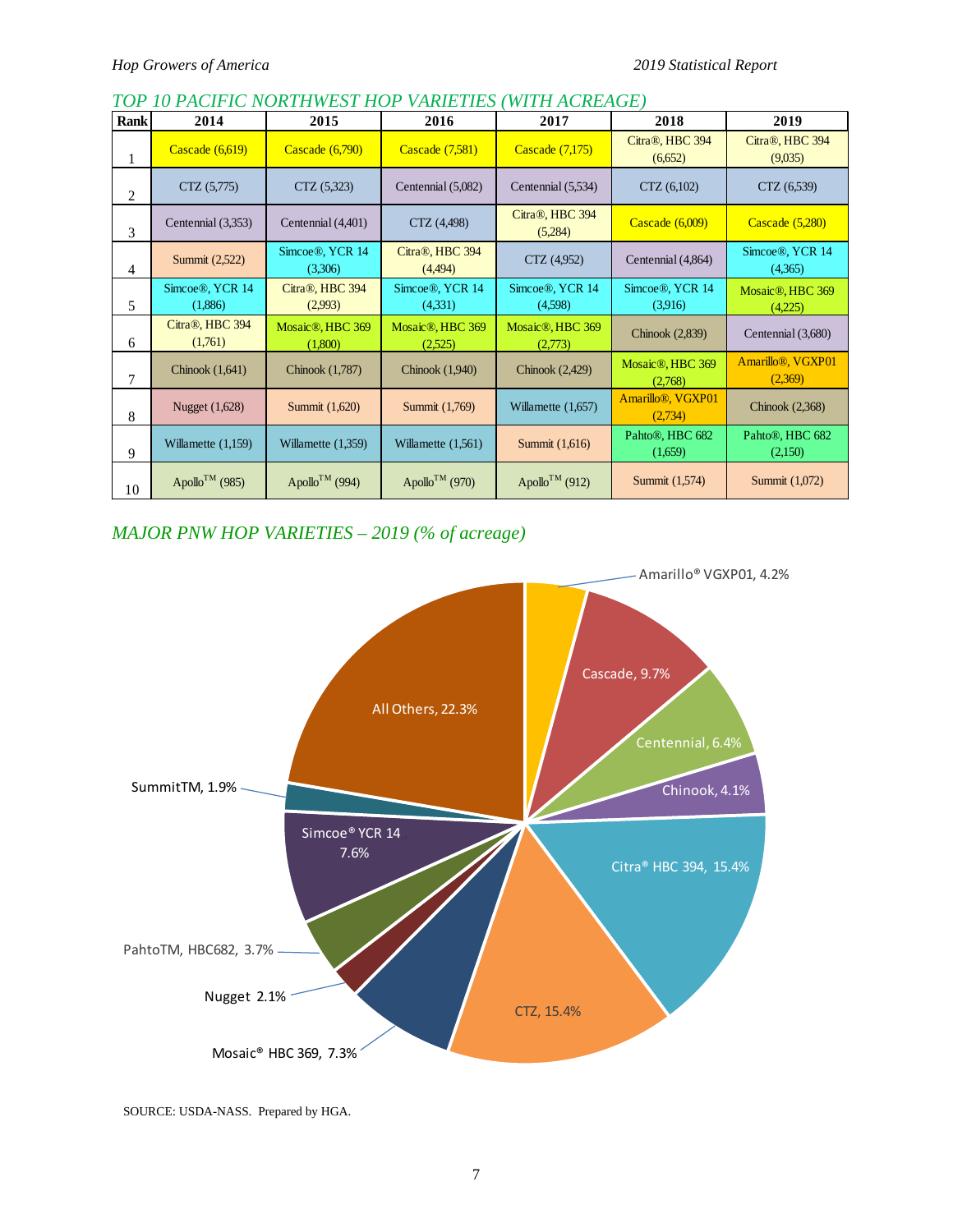## *TOP 10 PACIFIC NORTHWEST HOP VARIETIES (WITH ACREAGE)*

| Rank | 2014                       | 2015                                     | 2016                                     | 2017                                     | 2018                                      | 2019                                      |
|------|----------------------------|------------------------------------------|------------------------------------------|------------------------------------------|-------------------------------------------|-------------------------------------------|
|      | Cascade $(6,619)$          | Cascade (6,790)                          | Cascade (7,581)                          | Cascade (7,175)                          | Citra®, HBC 394<br>(6,652)                | Citra®, HBC 394<br>(9,035)                |
| 2    | CTZ(5,775)                 | CTZ (5,323)                              | Centennial (5,082)                       | Centennial (5,534)                       | CTZ(6,102)                                | CTZ (6,539)                               |
| 3    | Centennial (3,353)         | Centennial (4,401)                       | CTZ (4,498)                              | Citra®, HBC 394<br>(5,284)               | Cascade $(6,009)$                         | Cascade (5,280)                           |
| 4    | Summit (2,522)             | Simcoe <sup>®</sup> , YCR 14<br>(3,306)  | Citra®, HBC 394<br>(4,494)               | CTZ (4,952)                              | Centennial (4,864)                        | Simcoe®, YCR 14<br>(4,365)                |
| 5    | Simcoe®, YCR 14<br>(1,886) | Citra®, HBC 394<br>(2,993)               | Simcoe®, YCR 14<br>(4,331)               | Simcoe®, YCR 14<br>(4,598)               | Simcoe®, YCR 14<br>(3.916)                | Mosaic <sup>®</sup> , HBC 369<br>(4,225)  |
| 6    | Citra®, HBC 394<br>(1,761) | Mosaic <sup>®</sup> , HBC 369<br>(1,800) | Mosaic <sup>®</sup> , HBC 369<br>(2,525) | Mosaic <sup>®</sup> , HBC 369<br>(2,773) | Chinook (2,839)                           | Centennial (3,680)                        |
| 7    | Chinook $(1,641)$          | Chinook (1,787)                          | Chinook $(1,940)$                        | Chinook $(2,429)$                        | Mosaic <sup>®</sup> , HBC 369<br>(2,768)  | Amarillo <sup>®</sup> , VGXP01<br>(2,369) |
| 8    | Nugget (1,628)             | Summit (1,620)                           | Summit (1,769)                           | Willamette $(1,657)$                     | Amarillo <sup>®</sup> , VGXP01<br>(2,734) | Chinook $(2,368)$                         |
| 9    | Willamette $(1,159)$       | Willamette $(1,359)$                     | Willamette $(1,561)$                     | Summit (1,616)                           | Pahto <sup>®</sup> , HBC 682<br>(1,659)   | Pahto <sup>®</sup> , HBC 682<br>(2,150)   |
| 10   | Apollo <sup>TM</sup> (985) | Apollo <sup>TM</sup> (994)               | Apollo <sup>TM</sup> (970)               | Apollo <sup>TM</sup> (912)               | Summit (1,574)                            | Summit (1,072)                            |

# *MAJOR PNW HOP VARIETIES – 2019 (% of acreage)*



SOURCE: USDA-NASS. Prepared by HGA.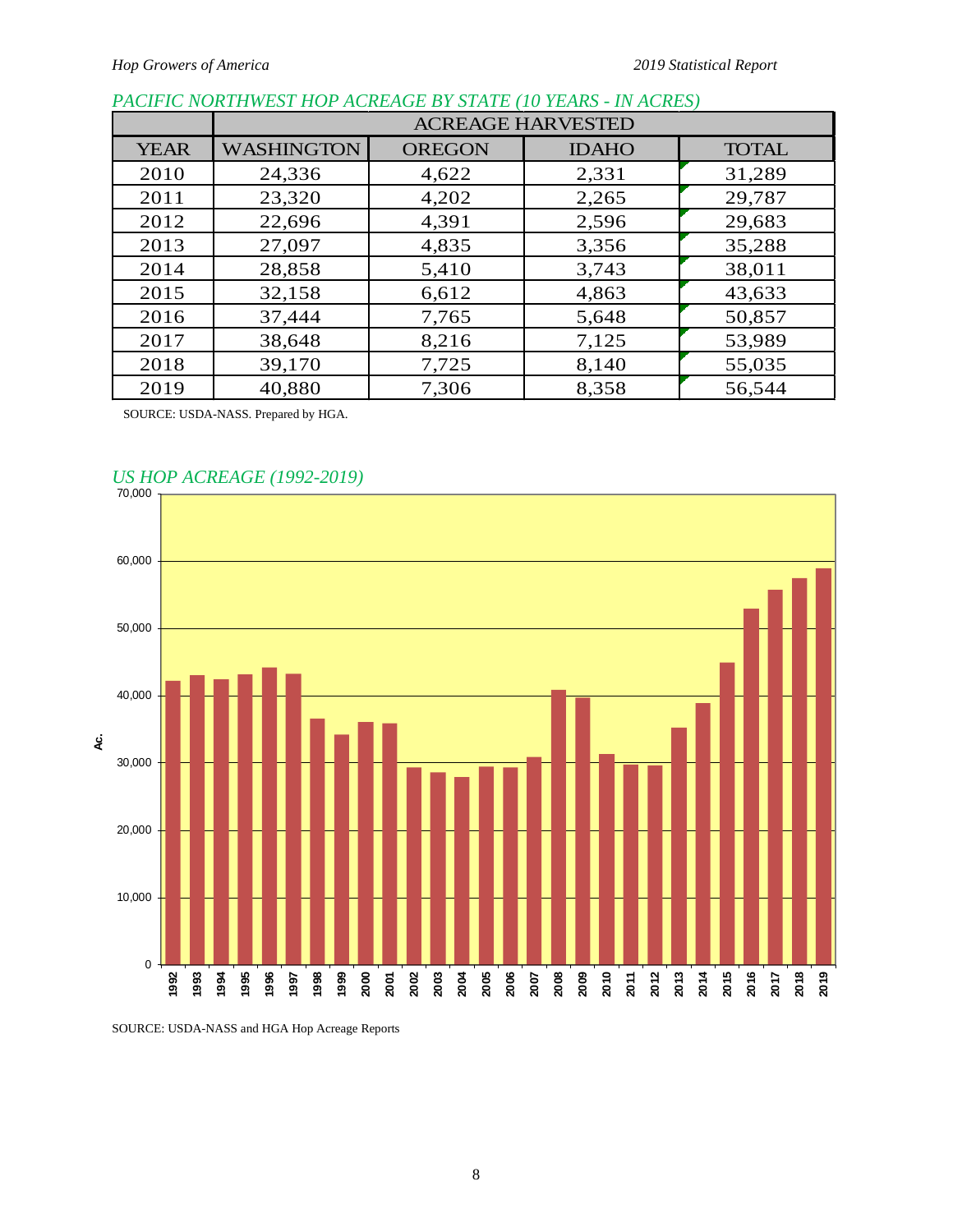# *PACIFIC NORTHWEST HOP ACREAGE BY STATE (10 YEARS - IN ACRES)*

|             | <b>ACREAGE HARVESTED</b> |               |              |              |  |  |  |  |  |
|-------------|--------------------------|---------------|--------------|--------------|--|--|--|--|--|
| <b>YEAR</b> | <b>WASHINGTON</b>        | <b>OREGON</b> | <b>IDAHO</b> | <b>TOTAL</b> |  |  |  |  |  |
| 2010        | 24,336                   | 4,622         | 2,331        | 31,289       |  |  |  |  |  |
| 2011        | 23,320                   | 4,202         | 2,265        | 29,787       |  |  |  |  |  |
| 2012        | 22,696                   | 4,391         | 2,596        | 29,683       |  |  |  |  |  |
| 2013        | 27,097                   | 4,835         | 3,356        | 35,288       |  |  |  |  |  |
| 2014        | 28,858                   | 5,410         | 3,743        | 38,011       |  |  |  |  |  |
| 2015        | 32,158                   | 6,612         | 4,863        | 43,633       |  |  |  |  |  |
| 2016        | 37,444                   | 7,765         | 5,648        | 50,857       |  |  |  |  |  |
| 2017        | 38,648                   | 8,216         | 7,125        | 53,989       |  |  |  |  |  |
| 2018        | 39,170                   | 7,725         | 8,140        | 55,035       |  |  |  |  |  |
| 2019        | 40,880                   | 7,306         | 8,358        | 56,544       |  |  |  |  |  |

SOURCE: USDA-NASS. Prepared by HGA.



# *US HOP ACREAGE (1992-2019)*

SOURCE: USDA-NASS and HGA Hop Acreage Reports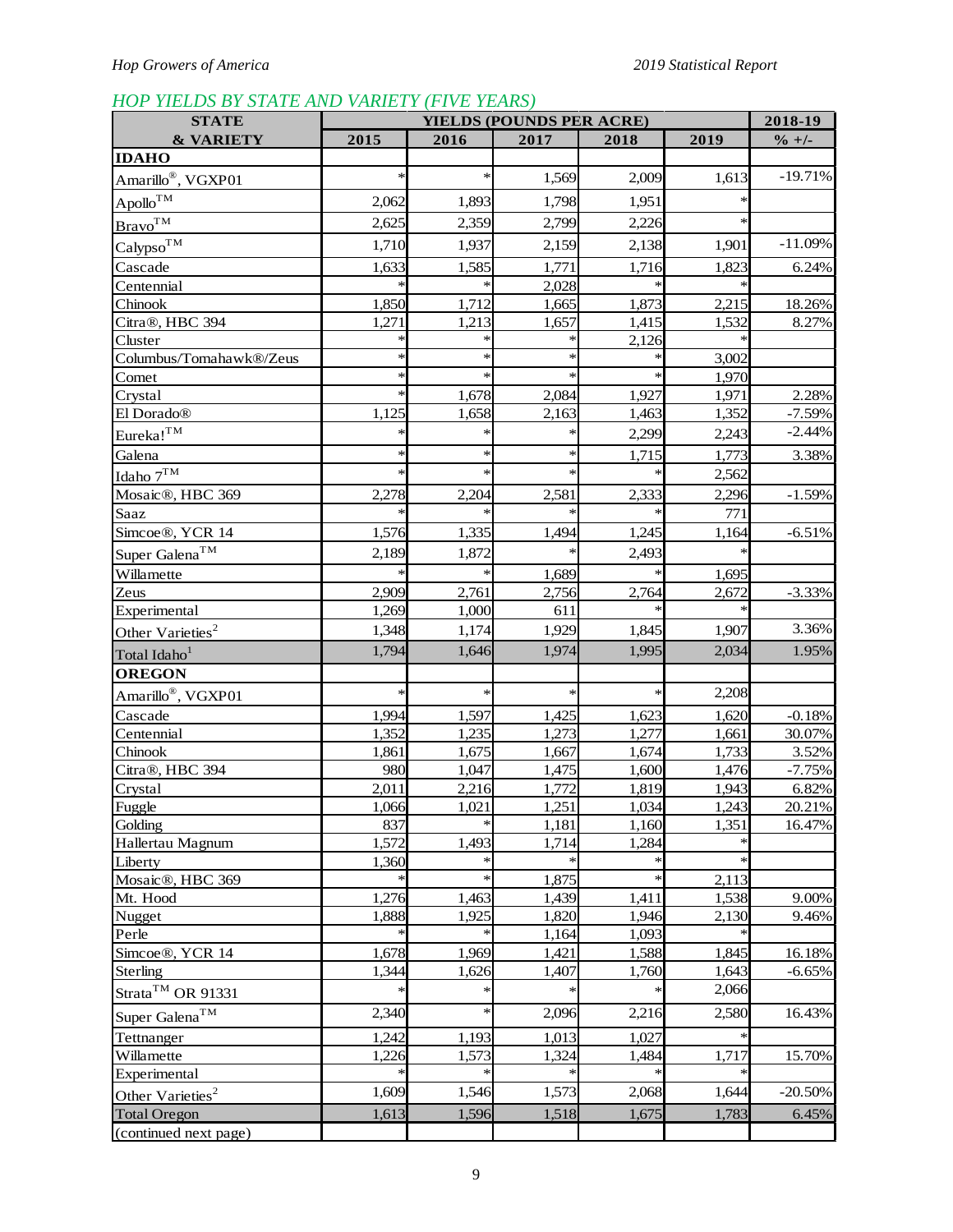# *HOP YIELDS BY STATE AND VARIETY (FIVE YEARS)*

| <b>STATE</b>                     | <b>YIELDS (POUNDS PER ACRE)</b> |        |        |       | 2018-19         |                   |
|----------------------------------|---------------------------------|--------|--------|-------|-----------------|-------------------|
| & VARIETY                        | 2015                            | 2016   | 2017   | 2018  | 2019            | $\frac{6}{1} + 1$ |
| <b>IDAHO</b>                     |                                 |        |        |       |                 |                   |
| Amarillo <sup>®</sup> , VGXP01   | $\ast$                          | $\ast$ | 1,569  | 2,009 | 1,613           | $-19.71%$         |
| $\mathbf{A}$ pollo <sup>TM</sup> | 2,062                           | 1,893  | 1,798  | 1,951 | $\ast$          |                   |
| Brawo <sup>TM</sup>              | 2,625                           | 2,359  | 2,799  | 2,226 | $\ast$          |                   |
| Calypso <sup>TM</sup>            | 1,710                           | 1,937  | 2,159  | 2,138 | 1,901           | $-11.09%$         |
|                                  | 1,633                           | 1,585  | 1,771  |       |                 |                   |
| Cascade<br>Centennial            |                                 |        | 2,028  | 1,716 | 1,823<br>$\ast$ | 6.24%             |
| Chinook                          | 1,850                           | 1,712  | 1,665  | 1,873 | 2,215           | 18.26%            |
| Citra®, HBC 394                  | 1,271                           | 1,213  | 1,657  | 1,415 | 1,532           | 8.27%             |
| Cluster                          |                                 |        |        | 2,126 |                 |                   |
| Columbus/Tomahawk®/Zeus          | ∗                               | ∗      |        |       | 3,002           |                   |
| Comet                            | *                               | $\ast$ | $\ast$ |       | 1,970           |                   |
| Crystal                          | $\ast$                          | 1,678  | 2,084  | 1,927 | 1,971           | 2.28%             |
| El Dorado®                       | 1,125                           | 1,658  | 2,163  | 1,463 | 1,352           | $-7.59%$          |
| $Eureka!^{TM}$                   | $\ast$                          | $\ast$ | *      | 2,299 | 2,243           | $-2.44%$          |
| Galena                           | $\ast$                          | $\ast$ | $\ast$ | 1,715 | 1,773           | 3.38%             |
| Idaho $7^{\mathrm{TM}}$          | $\ast$                          | $\ast$ | $\ast$ |       | 2,562           |                   |
| Mosaic®, HBC 369                 | 2,278                           | 2,204  | 2,581  | 2,333 | 2,296           | $-1.59%$          |
| Saaz                             |                                 |        |        |       | 771             |                   |
| Simcoe®, YCR 14                  | 1,576                           | 1,335  | 1,494  | 1,245 | 1,164           | $-6.51%$          |
| Super Galena <sup>TM</sup>       | 2,189                           | 1,872  |        | 2,493 |                 |                   |
| Willamette                       |                                 |        | 1,689  |       | 1,695           |                   |
| Zeus                             | 2,909                           | 2,761  | 2,756  | 2,764 | 2,672           | $-3.33%$          |
| Experimental                     | 1,269                           | 1,000  | 611    |       |                 |                   |
| Other Varieties <sup>2</sup>     | 1,348                           | 1,174  | 1,929  | 1,845 | 1,907           | 3.36%             |
| Total Idaho <sup>1</sup>         | 1,794                           | 1,646  | 1,974  | 1,995 | 2,034           | 1.95%             |
| <b>OREGON</b>                    |                                 |        |        |       |                 |                   |
| Amarillo®, VGXP01                | $\ast$                          | $\ast$ | $\ast$ | ∗     | 2,208           |                   |
| Cascade                          | 1,994                           | 1,597  | 1,425  | 1,623 | 1,620           | $-0.18%$          |
| Centennial                       | 1,352                           | 1,235  | 1,273  | 1,277 | 1,661           | 30.07%            |
| Chinook                          | 1,861                           | 1,675  | 1,667  | 1,674 | 1,733           | 3.52%             |
| Citra®, HBC 394                  | 980                             | 1,047  | 1,475  | 1,600 | 1,476           | $-7.75%$          |
| Crystal                          | 2,011                           | 2,216  | 1,772  | 1,819 | 1,943           | 6.82%             |
| Fuggle                           | 1,066                           | 1,021  | 1,251  | 1,034 | 1,243           | 20.21%            |
| Golding                          | 837                             | $\ast$ | 1,181  | 1,160 | 1,351           | 16.47%            |
| Hallertau Magnum                 | 1,572                           | 1,493  | 1,714  | 1,284 |                 |                   |
| Liberty                          | 1,360                           |        | $\ast$ | ∗     | $\ast$          |                   |
| Mosaic <sup>®</sup> , HBC 369    |                                 |        | 1,875  | ∗     | 2,113           |                   |
| Mt. Hood                         | 1,276                           | 1,463  | 1,439  | 1,411 | 1,538           | 9.00%             |
| Nugget                           | 1,888                           | 1,925  | 1,820  | 1,946 | 2,130           | 9.46%             |
| Perle                            |                                 |        | 1,164  | 1,093 |                 |                   |
| Simcoe®, YCR 14                  | 1,678                           | 1,969  | 1,421  | 1,588 | 1,845           | 16.18%            |
| Sterling                         | 1,344                           | 1,626  | 1,407  | 1,760 | 1,643           | $-6.65%$          |
| Strata <sup>™</sup> OR 91331     |                                 |        |        |       | 2,066           |                   |
| Super Galena <sup>TM</sup>       | 2,340                           | $\ast$ | 2,096  | 2,216 | 2,580           | 16.43%            |
| Tettnanger                       | 1,242                           | 1,193  | 1,013  | 1,027 |                 |                   |
| Willamette                       | 1,226                           | 1,573  | 1,324  | 1,484 | 1,717           | 15.70%            |
| Experimental                     |                                 |        |        |       |                 |                   |
| Other Varieties <sup>2</sup>     | 1,609                           | 1,546  | 1,573  | 2,068 | 1,644           | $-20.50%$         |
| <b>Total Oregon</b>              | 1,613                           | 1,596  | 1,518  | 1,675 | 1,783           | 6.45%             |
| (continued next page)            |                                 |        |        |       |                 |                   |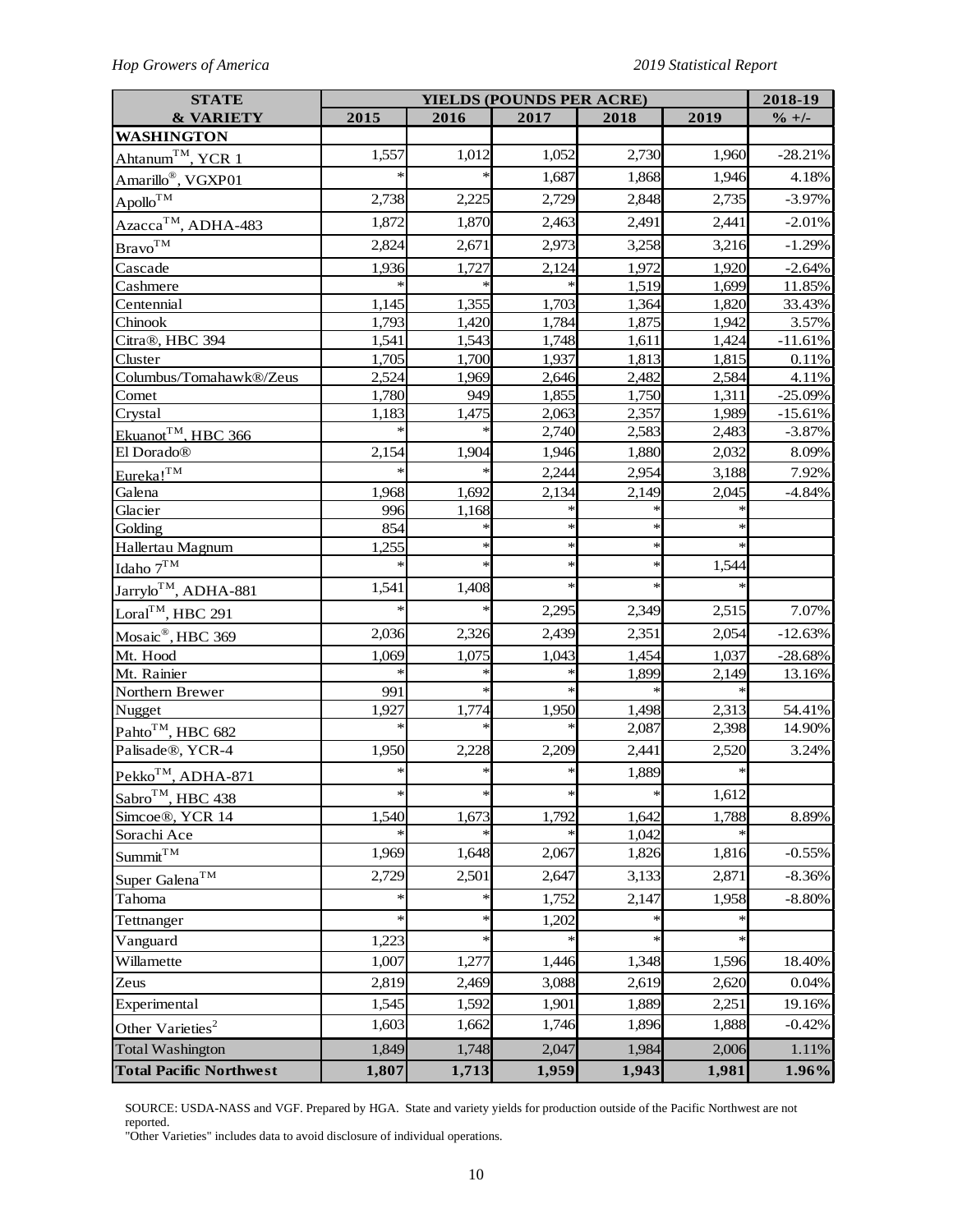# *Hop Growers of America 2019 Statistical Report*

| <b>STATE</b>                     |        |        | <b>YIELDS (POUNDS PER ACRE)</b> |        |       | 2018-19           |
|----------------------------------|--------|--------|---------------------------------|--------|-------|-------------------|
| <b>&amp; VARIETY</b>             | 2015   | 2016   | 2017                            | 2018   | 2019  | $\frac{9}{6}$ +/- |
| <b>WASHINGTON</b>                |        |        |                                 |        |       |                   |
| Ahtanum™, YCR 1                  | 1,557  | 1,012  | 1,052                           | 2,730  | 1,960 | $-28.21%$         |
| Amarillo®, VGXP01                |        |        | 1,687                           | 1,868  | 1,946 | 4.18%             |
| $\mathrm{Apollo}^{\mathrm{TM}}$  | 2,738  | 2,225  | 2,729                           | 2,848  | 2,735 | $-3.97%$          |
| Azacca™, ADHA-483                | 1,872  | 1,870  | 2,463                           | 2,491  | 2,441 | $-2.01%$          |
| $\mathrm{Bravo}^{\mathrm{TM}}$   | 2,824  | 2,671  | 2,973                           | 3,258  | 3,216 | $-1.29%$          |
| Cascade                          | 1,936  | 1,727  | 2,124                           | 1,972  | 1,920 | $-2.64%$          |
| Cashmere                         |        |        |                                 | 1,519  | 1,699 | 11.85%            |
| Centennial                       | 1,145  | 1,355  | 1,703                           | 1,364  | 1,820 | 33.43%            |
| Chinook                          | 1,793  | 1,420  | 1,784                           | 1,875  | 1,942 | 3.57%             |
| Citra®, HBC 394                  | 1,541  | 1,543  | 1,748                           | 1,611  | 1,424 | $-11.61%$         |
| Cluster                          | 1,705  | 1,700  | 1,937                           | 1,813  | 1,815 | 0.11%             |
| Columbus/Tomahawk®/Zeus          | 2,524  | 1,969  | 2,646                           | 2,482  | 2,584 | 4.11%             |
| Comet                            | 1,780  | 949    | 1,855                           | 1,750  | 1,311 | $-25.09%$         |
| Crystal                          | 1,183  | 1,475  | 2,063                           | 2,357  | 1,989 | $-15.61%$         |
| Ekuanot <sup>TM</sup> , HBC 366  |        |        | 2,740                           | 2,583  | 2,483 | $-3.87%$          |
| El Dorado®                       | 2,154  | 1,904  | 1,946                           | 1,880  | 2,032 | 8.09%             |
| Eureka! <sup>TM</sup>            |        |        | 2,244                           | 2,954  | 3,188 | 7.92%             |
| Galena                           | 1,968  | 1,692  | 2,134                           | 2,149  | 2,045 | $-4.84%$          |
| Glacier                          | 996    | 1,168  |                                 |        |       |                   |
| Golding                          | 854    |        | $\ast$                          | *      |       |                   |
| Hallertau Magnum                 | 1,255  | *      | $\ast$                          | $\ast$ |       |                   |
| Idaho $7TM$                      |        | $\ast$ | $\ast$                          | $\ast$ | 1,544 |                   |
| Jarrylo <sup>TM</sup> , ADHA-881 | 1,541  | 1,408  | ∗                               | $\ast$ |       |                   |
| Loral <sup>TM</sup> , HBC 291    | $\ast$ | $\ast$ | 2,295                           | 2,349  | 2,515 | 7.07%             |
| Mosaic <sup>®</sup> , HBC 369    | 2,036  | 2,326  | 2,439                           | 2,351  | 2,054 | $-12.63%$         |
| Mt. Hood                         | 1,069  | 1,075  | 1,043                           | 1,454  | 1,037 | $-28.68%$         |
| Mt. Rainier                      |        |        |                                 | 1,899  | 2,149 | 13.16%            |
| Northern Brewer                  | 991    |        |                                 |        |       |                   |
| Nugget                           | 1,927  | 1,774  | 1,950                           | 1,498  | 2,313 | 54.41%            |
| Pahto <sup>TM</sup> , HBC 682    |        | $\ast$ | $\ast$                          | 2,087  | 2,398 | 14.90%            |
| Palisade®, YCR-4                 | 1,950  | 2,228  | 2,209                           | 2,441  | 2,520 | 3.24%             |
| Pekko <sup>TM</sup> , ADHA-871   | $\ast$ | $\ast$ | $\ast$                          | 1,889  | *     |                   |
| Sabro <sup>TM</sup> , HBC 438    | $\ast$ | *      | $\ast$                          | $\ast$ | 1,612 |                   |
| Simcoe®, YCR 14                  | 1,540  | 1,673  | 1,792                           | 1,642  | 1,788 | 8.89%             |
| Sorachi Ace                      |        |        |                                 | 1,042  |       |                   |
| Summit <sup>TM</sup>             | 1,969  | 1,648  | 2,067                           | 1,826  | 1,816 | $-0.55%$          |
| Super Galena <sup>TM</sup>       | 2,729  | 2,501  | 2,647                           | 3,133  | 2,871 | $-8.36%$          |
| Tahoma                           | *      | $\ast$ | 1,752                           | 2,147  | 1,958 | $-8.80%$          |
| Tettnanger                       | $\ast$ | ∗      | 1,202                           |        |       |                   |
| Vanguard                         | 1,223  | *      |                                 | $\ast$ |       |                   |
| Willamette                       | 1,007  | 1,277  | 1,446                           | 1,348  | 1,596 | 18.40%            |
| Zeus                             | 2,819  | 2,469  | 3,088                           | 2,619  | 2,620 | 0.04%             |
| Experimental                     | 1,545  | 1,592  | 1,901                           | 1,889  | 2,251 | 19.16%            |
| Other Varieties <sup>2</sup>     | 1,603  | 1,662  | 1,746                           | 1,896  | 1,888 | $-0.42%$          |
| <b>Total Washington</b>          | 1,849  | 1,748  | 2,047                           | 1,984  | 2,006 | 1.11%             |
| <b>Total Pacific Northwest</b>   | 1,807  | 1,713  | 1,959                           | 1,943  | 1,981 | 1.96%             |

SOURCE: USDA-NASS and VGF. Prepared by HGA. State and variety yields for production outside of the Pacific Northwest are not reported.

"Other Varieties" includes data to avoid disclosure of individual operations.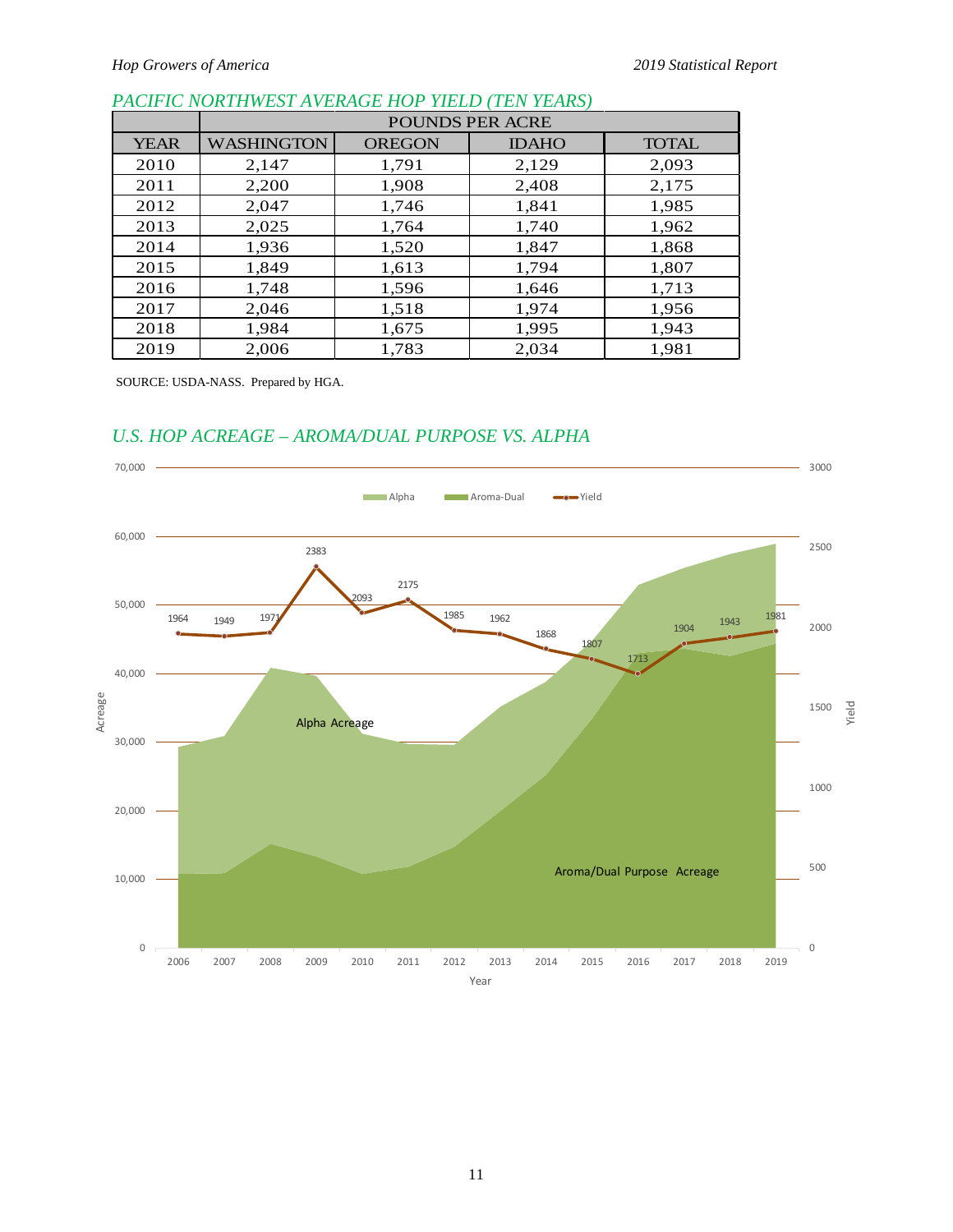## *PACIFIC NORTHWEST AVERAGE HOP YIELD (TEN YEARS)*

|             | <b>POUNDS PER ACRE</b> |               |              |              |  |  |  |  |  |  |
|-------------|------------------------|---------------|--------------|--------------|--|--|--|--|--|--|
| <b>YEAR</b> | <b>WASHINGTON</b>      | <b>OREGON</b> | <b>IDAHO</b> | <b>TOTAL</b> |  |  |  |  |  |  |
| 2010        | 2,147                  | 1,791         | 2,129        | 2,093        |  |  |  |  |  |  |
| 2011        | 2,200                  | 1,908         | 2,408        | 2,175        |  |  |  |  |  |  |
| 2012        | 2,047                  | 1,746         | 1,841        | 1,985        |  |  |  |  |  |  |
| 2013        | 2,025                  | 1,764         | 1,740        | 1,962        |  |  |  |  |  |  |
| 2014        | 1,936                  | 1,520         | 1,847        | 1,868        |  |  |  |  |  |  |
| 2015        | 1,849                  | 1,613         | 1,794        | 1,807        |  |  |  |  |  |  |
| 2016        | 1,748                  | 1,596         | 1,646        | 1,713        |  |  |  |  |  |  |
| 2017        | 2,046                  | 1,518         | 1,974        | 1,956        |  |  |  |  |  |  |
| 2018        | 1,984                  | 1,675         | 1,995        | 1,943        |  |  |  |  |  |  |
| 2019        | 2,006                  | 1,783         | 2,034        | 1,981        |  |  |  |  |  |  |

SOURCE: USDA-NASS. Prepared by HGA.

# *U.S. HOP ACREAGE – AROMA/DUAL PURPOSE VS. ALPHA*

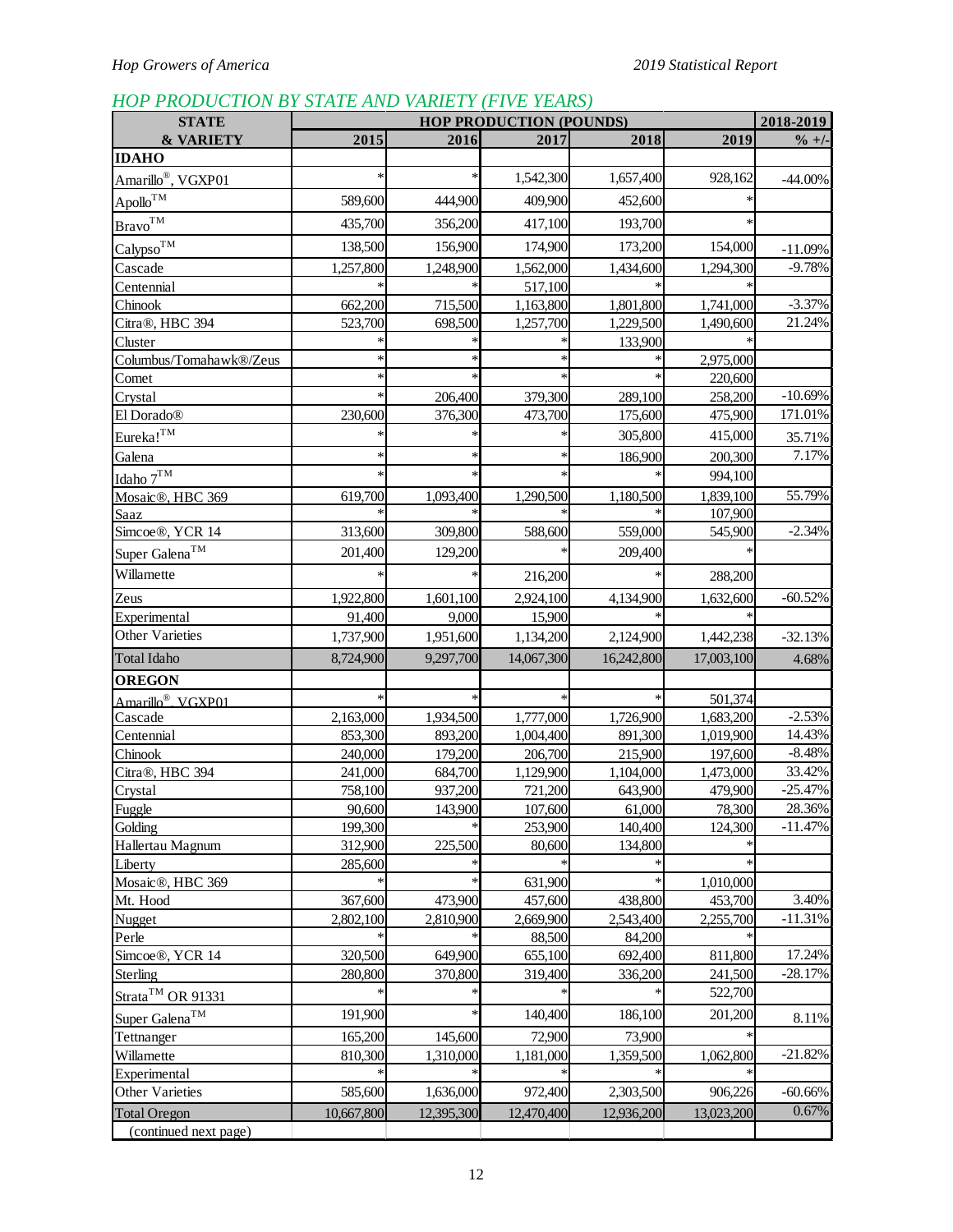# *HOP PRODUCTION BY STATE AND VARIETY (FIVE YEARS)*

| <b>STATE</b>                           | 2018-2019<br><b>HOP PRODUCTION (POUNDS)</b> |            |            |                      |            |            |
|----------------------------------------|---------------------------------------------|------------|------------|----------------------|------------|------------|
| <b>&amp; VARIETY</b>                   | 2015                                        | 2016       | 2017       | 2018                 | 2019       | $\% +/-$   |
| <b>IDAHO</b>                           |                                             |            |            |                      |            |            |
| Amarillo <sup>®</sup> , VGXP01         |                                             |            | 1,542,300  | 1,657,400            | 928,162    | $-44.00\%$ |
| $\mathrm {Apollo}^{\mathrm {TM}}$      | 589,600                                     | 444,900    | 409,900    | 452,600              |            |            |
| $\underline{\text{Bravo}}^{\text{TM}}$ | 435,700                                     | 356,200    | 417,100    | 193,700              | $\ast$     |            |
|                                        |                                             |            |            |                      |            |            |
| Calypso <sup>TM</sup>                  | 138,500                                     | 156,900    | 174,900    | 173,200              | 154,000    | $-11.09%$  |
| Cascade                                | 1,257,800                                   | 1,248,900  | 1,562,000  | 1,434,600            | 1,294,300  | $-9.78%$   |
| Centennial                             |                                             |            | 517,100    |                      |            | $-3.37%$   |
| Chinook                                | 662,200                                     | 715,500    | 1,163,800  | 1,801,800            | 1,741,000  | 21.24%     |
| Citra®, HBC 394                        | 523,700                                     | 698,500    | 1,257,700  | 1,229,500<br>133,900 | 1,490,600  |            |
| Cluster<br>Columbus/Tomahawk®/Zeus     |                                             |            |            |                      | 2,975,000  |            |
| Comet                                  |                                             |            |            |                      | 220,600    |            |
| Crystal                                |                                             | 206,400    | 379,300    | 289,100              | 258,200    | $-10.69%$  |
| El Dorado®                             | 230,600                                     | 376,300    | 473,700    | 175,600              | 475,900    | 171.01%    |
|                                        |                                             |            |            | 305,800              |            |            |
| Eureka! <sup>TM</sup>                  |                                             |            | $\ast$     |                      | 415,000    | 35.71%     |
| Galena                                 |                                             |            |            | 186,900              | 200,300    | 7.17%      |
| Idaho $7^{\mathrm{TM}}$                |                                             |            |            |                      | 994,100    |            |
| Mosaic®, HBC 369                       | 619,700                                     | 1,093,400  | 1,290,500  | 1,180,500            | 1,839,100  | 55.79%     |
| Saaz                                   |                                             |            |            |                      | 107,900    |            |
| Simcoe®, YCR 14                        | 313,600                                     | 309,800    | 588,600    | 559,000              | 545,900    | $-2.34%$   |
| Super Galena <sup>TM</sup>             | 201,400                                     | 129,200    |            | 209,400              |            |            |
| Willamette                             |                                             |            | 216,200    |                      | 288,200    |            |
| Zeus                                   | 1,922,800                                   | 1,601,100  | 2,924,100  | 4,134,900            | 1,632,600  | $-60.52%$  |
| Experimental                           | 91,400                                      | 9,000      | 15,900     |                      |            |            |
| Other Varieties                        | 1,737,900                                   | 1,951,600  | 1,134,200  | 2,124,900            | 1,442,238  | $-32.13%$  |
| <b>Total Idaho</b>                     | 8,724,900                                   | 9,297,700  | 14,067,300 | 16,242,800           | 17,003,100 | 4.68%      |
| <b>OREGON</b>                          |                                             |            |            |                      |            |            |
| Amarillo <sup>®</sup> . VGXP01         |                                             |            |            |                      | 501,374    |            |
| Cascade                                | 2,163,000                                   | 1,934,500  | 1,777,000  | 1,726,900            | 1,683,200  | $-2.53%$   |
| Centennial                             | 853,300                                     | 893,200    | 1,004,400  | 891,300              | 1,019,900  | 14.43%     |
| Chinook                                | 240,000                                     | 179,200    | 206,700    | 215,900              | 197,600    | $-8.48%$   |
| Citra®, HBC 394                        | 241,000                                     | 684,700    | 1,129,900  | 1,104,000            | 1,473,000  | 33.42%     |
| Crystal                                | 758,100                                     | 937,200    | 721,200    | 643,900              | 479,900    | $-25.47%$  |
| Fuggle                                 | 90,600                                      | 143,900    | 107,600    | 61,000               | 78,300     | 28.36%     |
| Golding                                | 199,300                                     |            | 253,900    | 140,400              | 124,300    | $-11.47%$  |
| Hallertau Magnum                       | 312,900                                     | 225,500    | 80,600     | 134,800              |            |            |
| Liberty                                | 285,600                                     |            |            |                      |            |            |
| Mosaic®, HBC 369                       |                                             |            | 631,900    |                      | 1,010,000  |            |
| Mt. Hood                               | 367,600                                     | 473,900    | 457,600    | 438,800              | 453,700    | 3.40%      |
| Nugget                                 | 2,802,100                                   | 2,810,900  | 2,669,900  | 2,543,400            | 2,255,700  | $-11.31%$  |
| Perle                                  |                                             |            | 88,500     | 84,200               |            |            |
| Simcoe®, YCR 14                        | 320,500                                     | 649,900    | 655,100    | 692,400              | 811,800    | 17.24%     |
| <b>Sterling</b>                        | 280,800                                     | 370,800    | 319,400    | 336,200              | 241,500    | $-28.17%$  |
| Strata <sup>TM</sup> OR 91331          |                                             |            |            |                      | 522,700    |            |
| Super Galena <sup>TM</sup>             | 191,900                                     |            | 140,400    | 186,100              | 201,200    | 8.11%      |
| Tettnanger                             | 165,200                                     | 145,600    | 72,900     | 73,900               |            |            |
| Willamette                             | 810,300                                     | 1,310,000  | 1,181,000  | 1,359,500            | 1,062,800  | $-21.82%$  |
| Experimental                           |                                             |            |            |                      |            |            |
| Other Varieties                        | 585,600                                     | 1,636,000  | 972,400    | 2,303,500            | 906,226    | $-60.66%$  |
| <b>Total Oregon</b>                    | 10,667,800                                  | 12,395,300 | 12,470,400 | 12,936,200           | 13,023,200 | 0.67%      |
| (continued next page)                  |                                             |            |            |                      |            |            |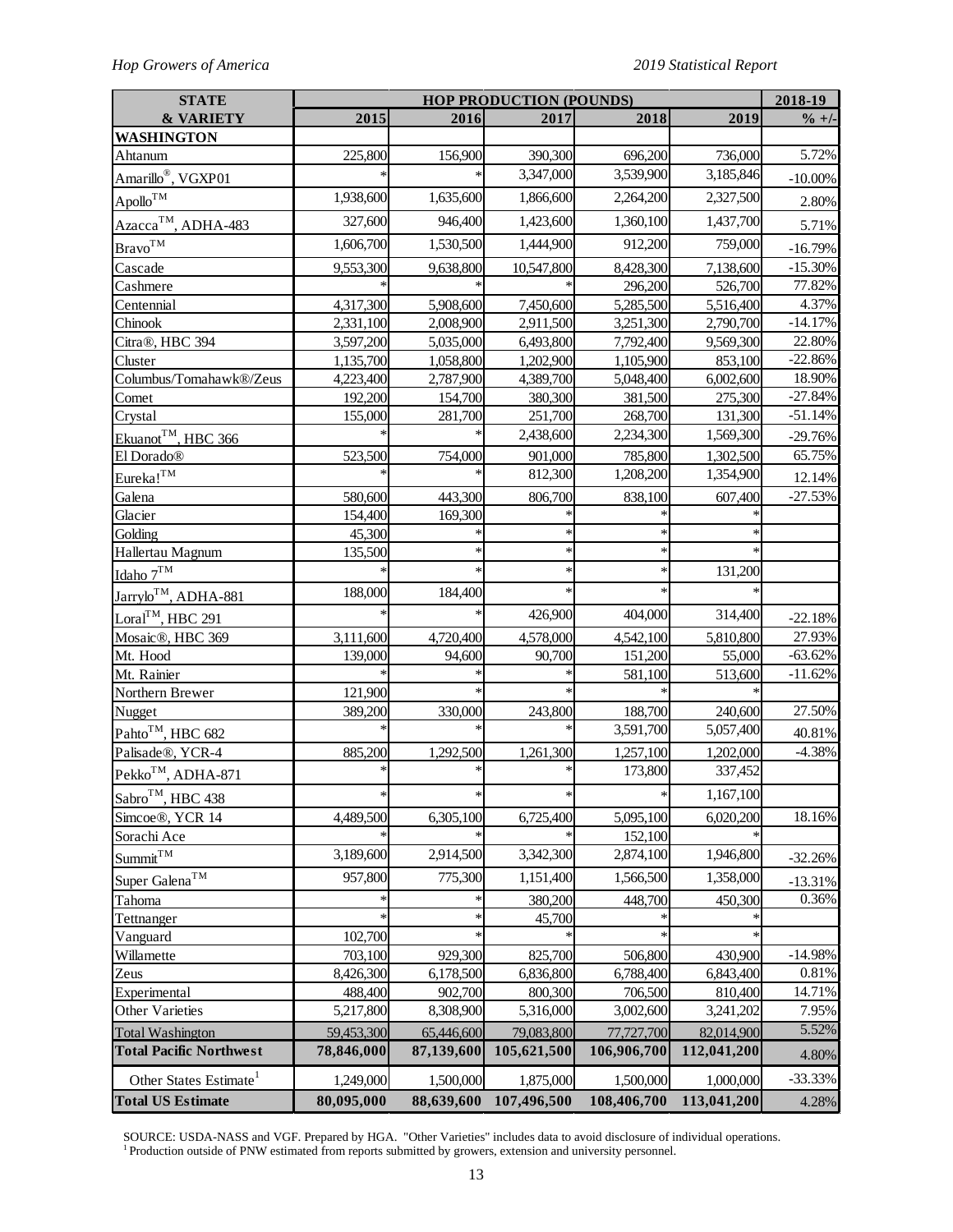| <b>STATE</b>                       | <b>HOP PRODUCTION (POUNDS)</b> |            |             |             | 2018-19     |                   |
|------------------------------------|--------------------------------|------------|-------------|-------------|-------------|-------------------|
| <b>&amp; VARIETY</b>               | 2015                           | 2016       | 2017        | 2018        | 2019        | $\frac{9}{6}$ +/- |
| <b>WASHINGTON</b>                  |                                |            |             |             |             |                   |
| Ahtanum                            | 225,800                        | 156,900    | 390,300     | 696,200     | 736,000     | 5.72%             |
| Amarillo <sup>®</sup> , VGXP01     |                                |            | 3,347,000   | 3,539,900   | 3,185,846   | $-10.00\%$        |
| $\mathrm {Apollo}^{\mathrm {TM}}$  | 1,938,600                      | 1,635,600  | 1,866,600   | 2,264,200   | 2,327,500   | 2.80%             |
| Azacca <sup>TM</sup> , ADHA-483    | 327,600                        | 946,400    | 1,423,600   | 1,360,100   | 1,437,700   | 5.71%             |
| $\mathrm{Bravo}^{\mathrm{TM}}$     | 1,606,700                      | 1,530,500  | 1,444,900   | 912,200     | 759,000     | $-16.79%$         |
| Cascade                            | 9,553,300                      | 9,638,800  | 10,547,800  | 8,428,300   | 7,138,600   | $-15.30%$         |
| Cashmere                           |                                |            |             | 296,200     | 526,700     | 77.82%            |
| Centennial                         | 4,317,300                      | 5,908,600  | 7,450,600   | 5,285,500   | 5,516,400   | 4.37%             |
| Chinook                            | 2,331,100                      | 2,008,900  | 2,911,500   | 3,251,300   | 2,790,700   | $-14.17%$         |
| Citra®, HBC 394                    | 3,597,200                      | 5,035,000  | 6,493,800   | 7,792,400   | 9,569,300   | 22.80%            |
| Cluster                            | 1,135,700                      | 1,058,800  | 1,202,900   | 1,105,900   | 853,100     | $-22.86%$         |
| Columbus/Tomahawk®/Zeus            | 4,223,400                      | 2,787,900  | 4,389,700   | 5,048,400   | 6,002,600   | 18.90%            |
| Comet                              | 192,200                        | 154,700    | 380,300     | 381,500     | 275,300     | $-27.84%$         |
| Crystal                            | 155,000                        | 281,700    | 251,700     | 268,700     | 131,300     | $-51.14%$         |
| Ekuanot <sup>TM</sup> , HBC 366    |                                |            | 2,438,600   | 2,234,300   | 1,569,300   | $-29.76%$         |
| El Dorado®                         | 523,500                        | 754,000    | 901,000     | 785,800     | 1,302,500   | 65.75%            |
| Eureka! <sup>TM</sup>              |                                |            | 812,300     | 1,208,200   | 1,354,900   | 12.14%            |
| Galena                             | 580,600                        | 443,300    | 806,700     | 838,100     | 607,400     | $-27.53%$         |
| Glacier                            | 154,400                        | 169,300    |             |             |             |                   |
| Golding                            | 45,300                         |            |             |             |             |                   |
| Hallertau Magnum                   | 135,500                        |            |             |             |             |                   |
| Idaho 7TM                          |                                |            |             |             | 131,200     |                   |
| Jarrylo <sup>TM</sup> , ADHA-881   | 188,000                        | 184,400    |             |             |             |                   |
| Loral <sup>TM</sup> , HBC 291      |                                |            | 426,900     | 404,000     | 314,400     | $-22.18%$         |
| Mosaic®, HBC 369                   | 3,111,600                      | 4,720,400  | 4,578,000   | 4,542,100   | 5,810,800   | 27.93%            |
| Mt. Hood                           | 139,000                        | 94,600     | 90,700      | 151,200     | 55,000      | $-63.62%$         |
| Mt. Rainier                        |                                |            |             | 581,100     | 513,600     | $-11.62%$         |
| Northern Brewer                    | 121,900                        |            |             |             |             |                   |
| Nugget                             | 389,200                        | 330,000    | 243,800     | 188,700     | 240,600     | 27.50%            |
| Pahto <sup>TM</sup> , HBC 682      |                                |            |             | 3,591,700   | 5,057,400   | 40.81%            |
| Palisade®, YCR-4                   | 885,200                        | 1,292,500  | 1,261,300   | 1,257,100   | 1,202,000   | $-4.38%$          |
| Pekko <sup>TM</sup> , ADHA-871     |                                |            |             | 173,800     | 337,452     |                   |
| Sabro <sup>TM</sup> , HBC 438      | $\ast$                         |            |             | ∗           | 1,167,100   |                   |
| Simcoe®, YCR 14                    | 4,489,500                      | 6,305,100  | 6,725,400   | 5,095,100   | 6,020,200   | 18.16%            |
| Sorachi Ace                        |                                |            |             | 152,100     |             |                   |
| Summit <sup>TM</sup>               | 3,189,600                      | 2,914,500  | 3,342,300   | 2,874,100   | 1,946,800   | $-32.26%$         |
| Super Galena <sup>TM</sup>         | 957,800                        | 775,300    | 1,151,400   | 1,566,500   | 1,358,000   | $-13.31%$         |
| Tahoma                             |                                |            | 380,200     | 448,700     | 450,300     | 0.36%             |
| Tettnanger                         |                                |            | 45,700      |             |             |                   |
| Vanguard                           | 102,700                        |            |             |             |             |                   |
| Willamette                         | 703,100                        | 929,300    | 825,700     | 506,800     | 430,900     | $-14.98%$         |
| Zeus                               | 8,426,300                      | 6,178,500  | 6,836,800   | 6,788,400   | 6,843,400   | 0.81%             |
| Experimental                       | 488,400                        | 902,700    | 800,300     | 706,500     | 810,400     | 14.71%            |
| Other Varieties                    | 5,217,800                      | 8,308,900  | 5,316,000   | 3,002,600   | 3,241,202   | 7.95%             |
| <b>Total Washington</b>            | 59,453,300                     | 65,446,600 | 79,083,800  | 77,727,700  | 82,014,900  | 5.52%             |
| <b>Total Pacific Northwest</b>     | 78,846,000                     | 87,139,600 | 105,621,500 | 106,906,700 | 112,041,200 | 4.80%             |
| Other States Estimate <sup>1</sup> | 1,249,000                      | 1,500,000  | 1,875,000   | 1,500,000   | 1,000,000   | $-33.33%$         |
| <b>Total US Estimate</b>           | 80,095,000                     | 88,639,600 | 107,496,500 | 108,406,700 | 113,041,200 | 4.28%             |

SOURCE: USDA-NASS and VGF. Prepared by HGA. "Other Varieties" includes data to avoid disclosure of individual operations. <sup>1</sup> Production outside of PNW estimated from reports submitted by growers, extension and university personnel.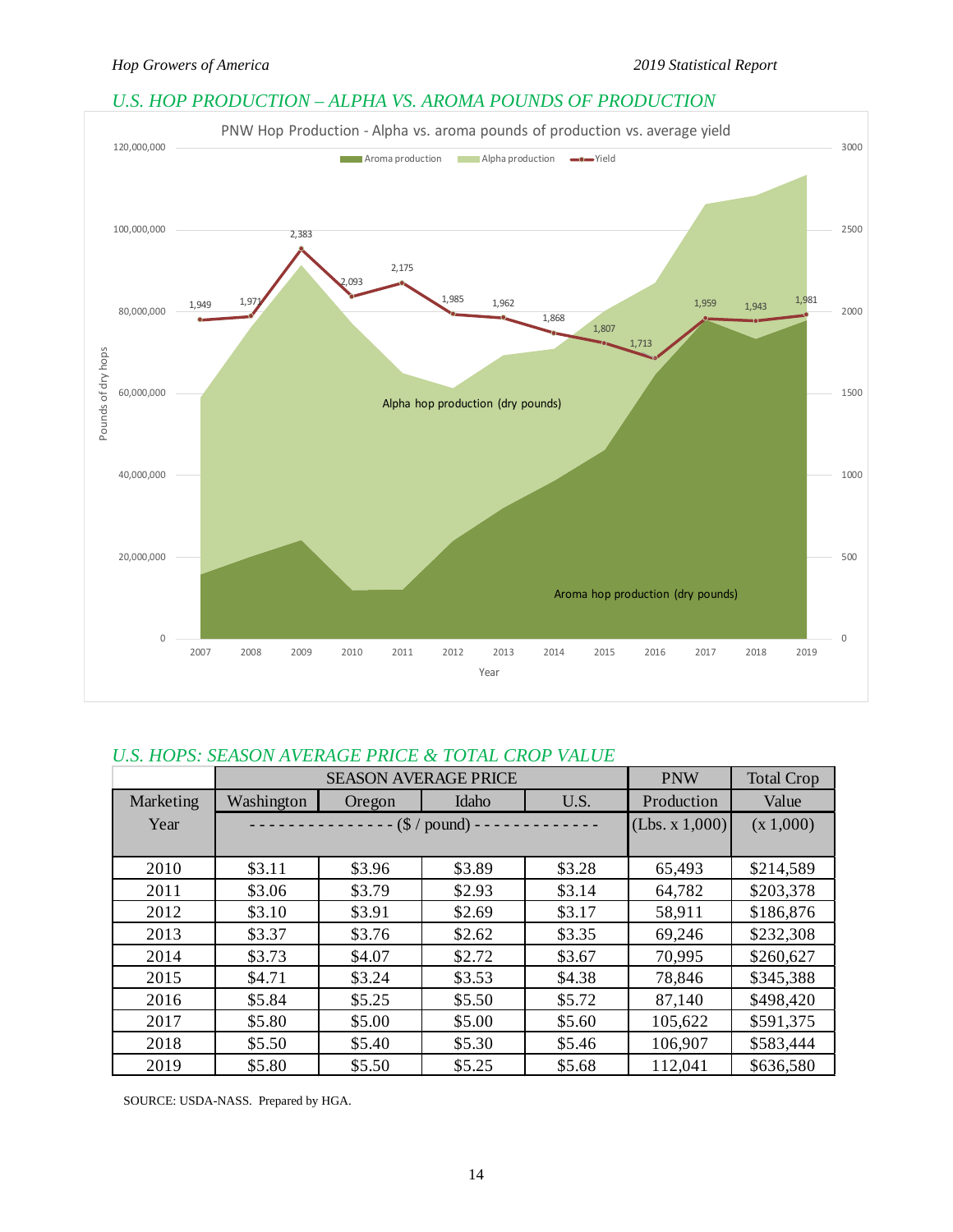# *U.S. HOP PRODUCTION – ALPHA VS. AROMA POUNDS OF PRODUCTION*



# *U.S. HOPS: SEASON AVERAGE PRICE & TOTAL CROP VALUE*

|                  |            | <b>SEASON AVERAGE PRICE</b> |                        |        | <b>PNW</b>     | <b>Total Crop</b> |
|------------------|------------|-----------------------------|------------------------|--------|----------------|-------------------|
| <b>Marketing</b> | Washington | Oregon                      | Idaho                  | U.S.   | Production     | Value             |
| Year             |            |                             | $-$ (\$ / pound) - - - |        | (Lbs. x 1,000) | (x 1,000)         |
|                  |            |                             |                        |        |                |                   |
| 2010             | \$3.11     | \$3.96                      | \$3.89                 | \$3.28 | 65,493         | \$214,589         |
| 2011             | \$3.06     | \$3.79                      | \$2.93                 | \$3.14 | 64,782         | \$203,378         |
| 2012             | \$3.10     | \$3.91                      | \$2.69                 | \$3.17 | 58,911         | \$186,876         |
| 2013             | \$3.37     | \$3.76                      | \$2.62                 | \$3.35 | 69,246         | \$232,308         |
| 2014             | \$3.73     | \$4.07                      | \$2.72                 | \$3.67 | 70,995         | \$260,627         |
| 2015             | \$4.71     | \$3.24                      | \$3.53                 | \$4.38 | 78,846         | \$345,388         |
| 2016             | \$5.84     | \$5.25                      | \$5.50                 | \$5.72 | 87,140         | \$498,420         |
| 2017             | \$5.80     | \$5.00                      | \$5.00                 | \$5.60 | 105,622        | \$591,375         |
| 2018             | \$5.50     | \$5.40                      | \$5.30                 | \$5.46 | 106,907        | \$583,444         |
| 2019             | \$5.80     | \$5.50                      | \$5.25                 | \$5.68 | 112,041        | \$636,580         |

SOURCE: USDA-NASS. Prepared by HGA.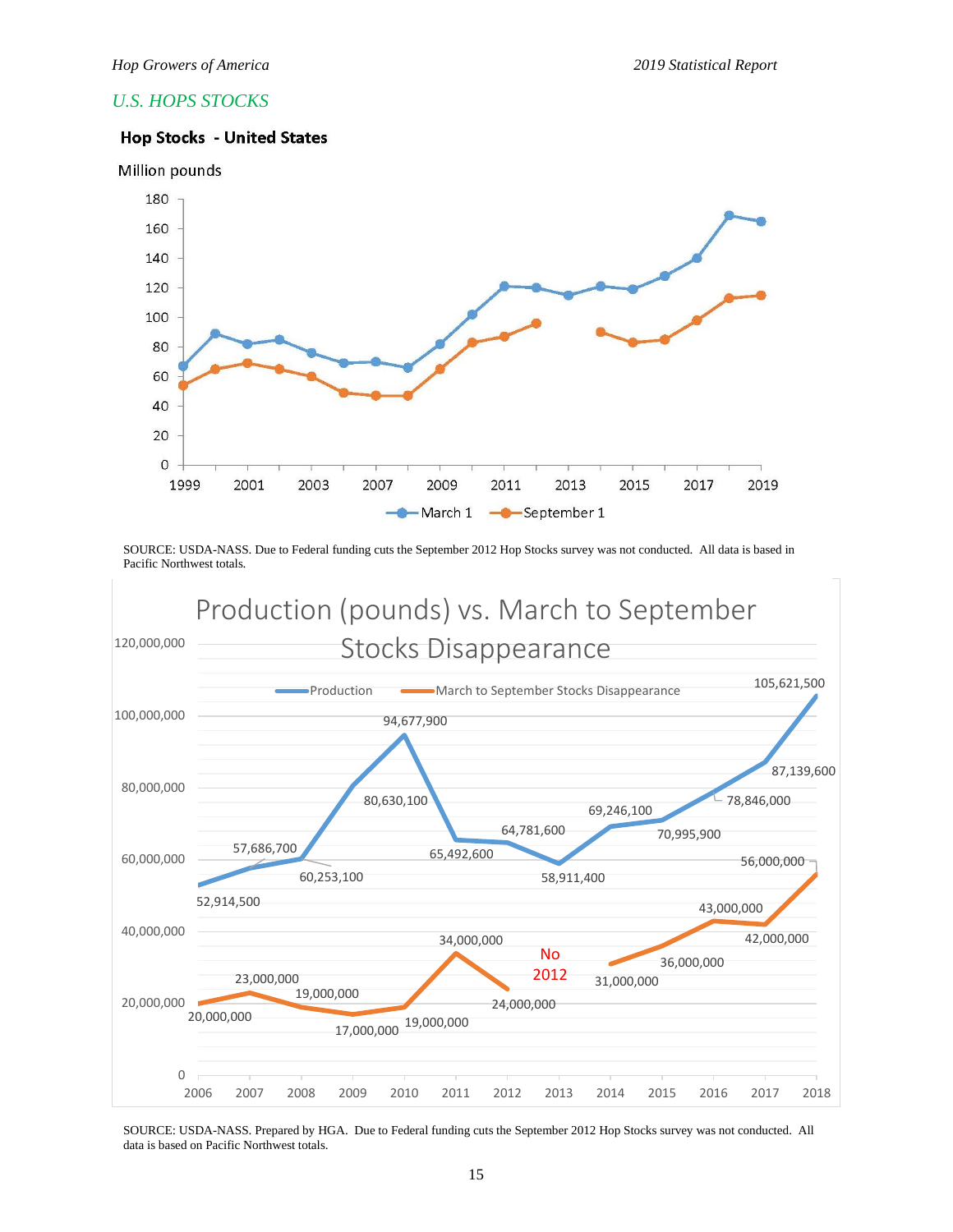## *U.S. HOPS STOCKS*

## **Hop Stocks - United States**



SOURCE: USDA-NASS. Due to Federal funding cuts the September 2012 Hop Stocks survey was not conducted. All data is based in Pacific Northwest totals.



SOURCE: USDA-NASS. Prepared by HGA. Due to Federal funding cuts the September 2012 Hop Stocks survey was not conducted. All data is based on Pacific Northwest totals.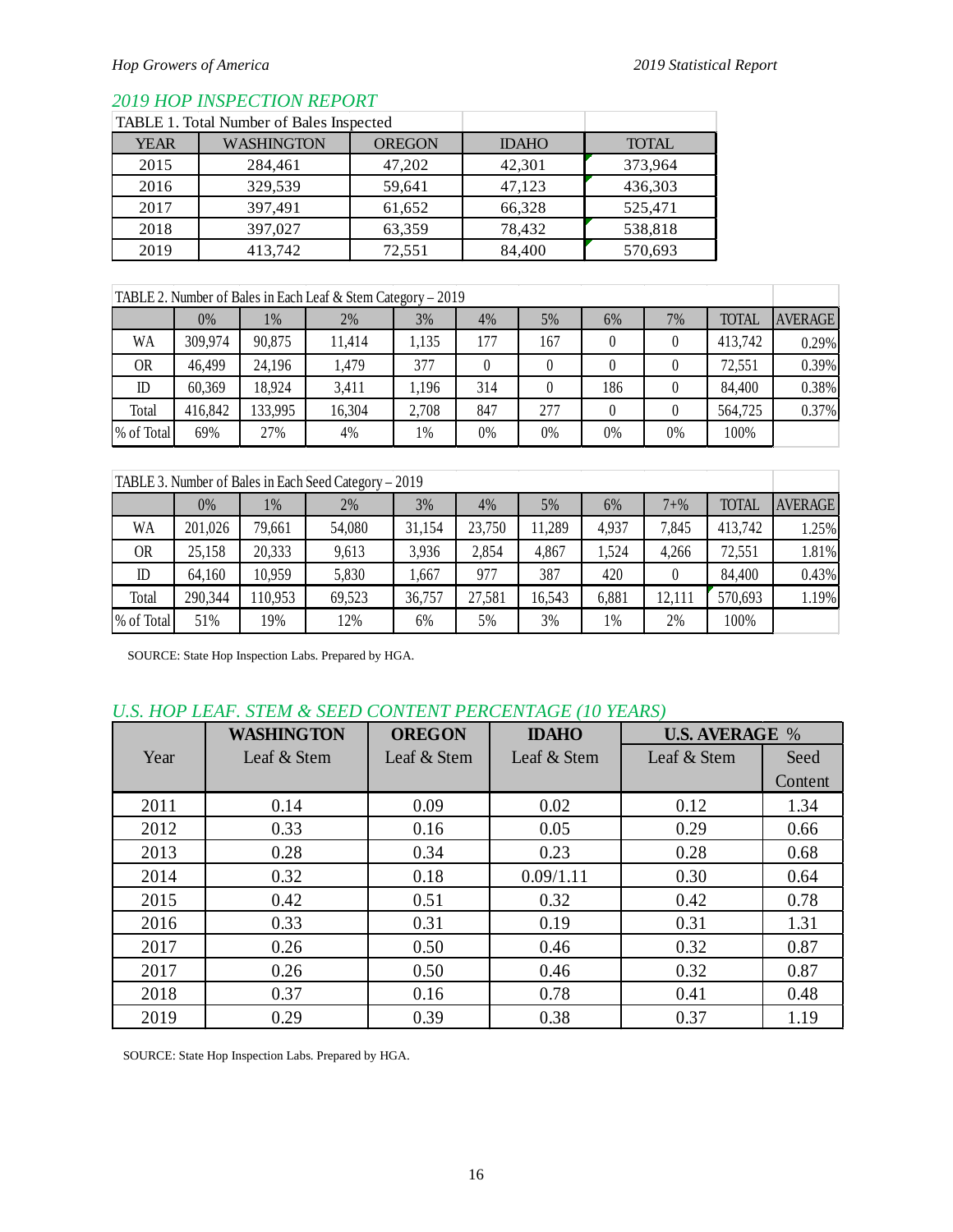## *2019 HOP INSPECTION REPORT*

|             | <b>TABLE 1. Total Number of Bales Inspected</b> |               |              |              |
|-------------|-------------------------------------------------|---------------|--------------|--------------|
| <b>YEAR</b> | <b>WASHINGTON</b>                               | <b>OREGON</b> | <b>IDAHO</b> | <b>TOTAL</b> |
| 2015        | 284,461                                         | 47,202        | 42,301       | 373,964      |
| 2016        | 329,539                                         | 59,641        | 47,123       | 436,303      |
| 2017        | 397,491                                         | 61,652        | 66,328       | 525,471      |
| 2018        | 397,027                                         | 63,359        | 78,432       | 538,818      |
| 2019        | 413,742                                         | 72,551        | 84,400       | 570,693      |

## TABLE 2. Number of Bales in Each Leaf & Stem Category – 2019

|             | 0%      | 1%      | 2%     | 3%    | 4%  | 5%  | 6%    | 7% | <b>TOTAL</b> | <b>AVERAGE</b> |
|-------------|---------|---------|--------|-------|-----|-----|-------|----|--------------|----------------|
| WA          | 309,974 | 90,875  | 11,414 | 1,135 | 177 | 167 |       |    | 413,742      | 0.29%          |
| 0R          | 46,499  | 24,196  | 1,479  | 377   |     |     |       |    | 72,551       | 0.39%          |
| $\mathbb D$ | 60,369  | 18,924  | 3,411  | 1,196 | 314 |     | 186   |    | 84,400       | 0.38%          |
| Total       | 416,842 | 133,995 | 16,304 | 2,708 | 847 | 277 |       |    | 564,725      | 0.37%          |
| % of Total  | 69%     | 27%     | 4%     | 1%    | 0%  | 0%  | $0\%$ | 0% | 100%         |                |

| TABLE 3. Number of Bales in Each Seed Category – 2019 |         |         |        |        |        |        |       |          |              |                |
|-------------------------------------------------------|---------|---------|--------|--------|--------|--------|-------|----------|--------------|----------------|
|                                                       | $0\%$   | 1%      | 2%     | 3%     | 4%     | 5%     | 6%    | $7 + \%$ | <b>TOTAL</b> | <b>AVERAGE</b> |
| WA                                                    | 201,026 | 79,661  | 54,080 | 31,154 | 23,750 | 11,289 | 4,937 | 7,845    | 413,742      | 1.25%          |
| <b>OR</b>                                             | 25,158  | 20,333  | 9,613  | 3,936  | 2,854  | 4,867  | .524  | 4,266    | 72,551       | 1.81%          |
| ID                                                    | 64,160  | 10,959  | 5,830  | 1,667  | 977    | 387    | 420   |          | 84,400       | 0.43%          |
| Total                                                 | 290,344 | 110,953 | 69,523 | 36,757 | 27,581 | 16,543 | 6,881 | 12,111   | 570,693      | 1.19%          |
| % of Total                                            | 51%     | 19%     | 12%    | 6%     | 5%     | 3%     | 1%    | 2%       | 100%         |                |

SOURCE: State Hop Inspection Labs. Prepared by HGA.

# *U.S. HOP LEAF. STEM & SEED CONTENT PERCENTAGE (10 YEARS)*

|      | <b>WASHINGTON</b> | <b>OREGON</b> | <b>IDAHO</b> | <b>U.S. AVERAGE %</b> |         |
|------|-------------------|---------------|--------------|-----------------------|---------|
| Year | Leaf & Stem       | Leaf & Stem   | Leaf & Stem  | Leaf & Stem           | Seed    |
|      |                   |               |              |                       | Content |
| 2011 | 0.14              | 0.09          | 0.02         | 0.12                  | 1.34    |
| 2012 | 0.33              | 0.16          | 0.05         | 0.29                  | 0.66    |
| 2013 | 0.28              | 0.34          | 0.23         | 0.28                  | 0.68    |
| 2014 | 0.32              | 0.18          | 0.09/1.11    | 0.30                  | 0.64    |
| 2015 | 0.42              | 0.51          | 0.32         | 0.42                  | 0.78    |
| 2016 | 0.33              | 0.31          | 0.19         | 0.31                  | 1.31    |
| 2017 | 0.26              | 0.50          | 0.46         | 0.32                  | 0.87    |
| 2017 | 0.26              | 0.50          | 0.46         | 0.32                  | 0.87    |
| 2018 | 0.37              | 0.16          | 0.78         | 0.41                  | 0.48    |
| 2019 | 0.29              | 0.39          | 0.38         | 0.37                  | 1.19    |

SOURCE: State Hop Inspection Labs. Prepared by HGA.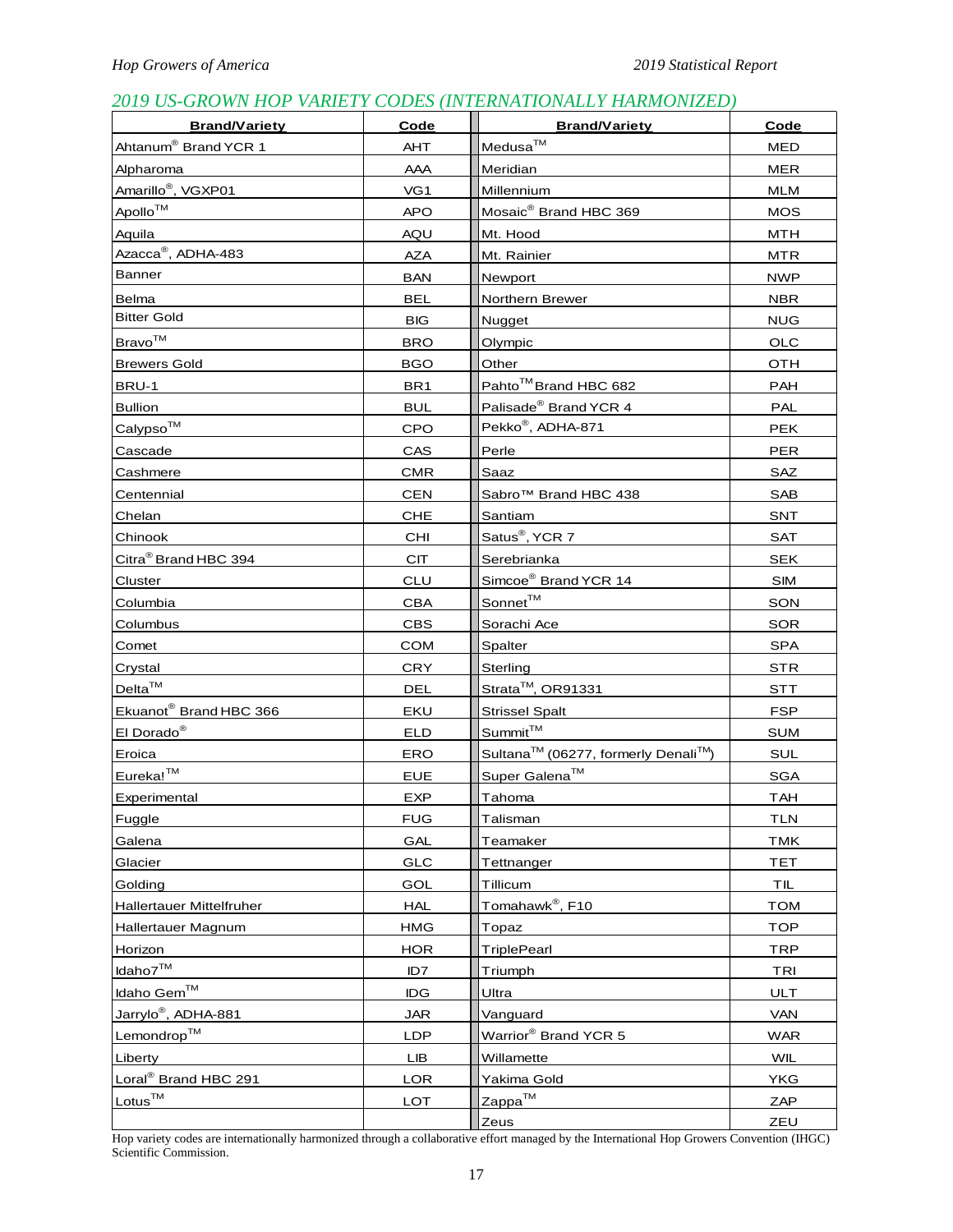# *2019 US-GROWN HOP VARIETY CODES (INTERNATIONALLY HARMONIZED)*

| <b>Brand/Variety</b>                  | Code            | <b>Brand/Variety</b>                                        | Code       |
|---------------------------------------|-----------------|-------------------------------------------------------------|------------|
| Ahtanum® Brand YCR 1                  | AHT             | Medusa™                                                     | MED        |
| Alpharoma                             | AAA             | Meridian                                                    | MER        |
| Amarillo <sup>®</sup> , VGXP01        | VG1             | Millennium                                                  | MLM        |
| Apollo™                               | <b>APO</b>      | Mosaic <sup>®</sup> Brand HBC 369                           | <b>MOS</b> |
| Aquila                                | AQU             | Mt. Hood                                                    | MTH        |
| Azacca <sup>®</sup> , ADHA-483        | <b>AZA</b>      | Mt. Rainier                                                 | MTR        |
| Banner                                | BAN             | Newport                                                     | <b>NWP</b> |
| <b>Belma</b>                          | <b>BEL</b>      | Northern Brewer                                             | <b>NBR</b> |
| <b>Bitter Gold</b>                    | <b>BIG</b>      | Nugget                                                      | <b>NUG</b> |
| Bravo™                                | BRO             | Olympic                                                     | OLC        |
| <b>Brewers Gold</b>                   | <b>BGO</b>      | Other                                                       | OTH        |
| BRU-1                                 | BR <sub>1</sub> | Pahto <sup>™</sup> Brand HBC 682                            | PAH        |
| <b>Bullion</b>                        | <b>BUL</b>      | Palisade <sup>®</sup> Brand YCR 4                           | PAL        |
| Calypso™                              | CPO             | Pekko <sup>®</sup> , ADHA-871                               | <b>PEK</b> |
| Cascade                               | CAS             | Perle                                                       | <b>PER</b> |
| Cashmere                              | <b>CMR</b>      | <b>Saaz</b>                                                 | SAZ        |
| Centennial                            | <b>CEN</b>      | Sabro™ Brand HBC 438                                        | <b>SAB</b> |
| Chelan                                | <b>CHE</b>      | Santiam                                                     | <b>SNT</b> |
| Chinook                               | CHI             | Satus <sup>®</sup> , YCR 7                                  | <b>SAT</b> |
| Citra <sup>®</sup> Brand HBC 394      | <b>CIT</b>      | Serebrianka                                                 | <b>SEK</b> |
| Cluster                               | <b>CLU</b>      | Simcoe <sup>®</sup> Brand YCR 14                            | <b>SIM</b> |
| Columbia                              | <b>CBA</b>      | Sonnet <sup>™</sup>                                         | SON        |
| Columbus                              | <b>CBS</b>      | Sorachi Ace                                                 | <b>SOR</b> |
| Comet                                 | <b>COM</b>      | Spalter                                                     | <b>SPA</b> |
| Crystal                               | <b>CRY</b>      | Sterling                                                    | STR        |
| $Delta^{\text{TM}}$                   | DEL             | Strata <sup>™</sup> , OR91331                               | <b>STT</b> |
| Ekuanot <sup>®</sup> Brand HBC 366    | EKU             | <b>Strissel Spalt</b>                                       | <b>FSP</b> |
| El Dorado <sup>®</sup>                | <b>ELD</b>      | Summit™                                                     | <b>SUM</b> |
| Eroica                                | ERO             | Sultana <sup>™</sup> (06277, formerly Denali <sup>™</sup> ) | SUL        |
| Eureka!™                              | <b>EUE</b>      | Super Galena <sup>™</sup>                                   | <b>SGA</b> |
| Experimental                          | <b>EXP</b>      | Tahoma                                                      | TAH        |
| Fuggle                                | <b>FUG</b>      | Talisman                                                    | <b>TLN</b> |
| Galena                                | GAL             | Teamaker                                                    | <b>TMK</b> |
| Glacier                               | GLC             | Tettnanger                                                  | <b>TET</b> |
| Golding                               | GOL             | Tillicum                                                    | TIL        |
| <b>Hallertauer Mittelfruher</b>       | <b>HAL</b>      | Tomahawk®, F10                                              | <b>TOM</b> |
| Hallertauer Magnum                    | HMG             | Topaz                                                       | <b>TOP</b> |
| Horizon                               | <b>HOR</b>      | TriplePearl                                                 | <b>TRP</b> |
| Idaho7™                               | ID7             | Triumph                                                     | <b>TRI</b> |
| Idaho Gem™                            | IDG             | Ultra                                                       | <b>ULT</b> |
| Jarry <u>lo<sup>®</sup>, ADHA-881</u> | <b>JAR</b>      | Vanguard                                                    | <b>VAN</b> |
| Lemondrop™                            | LDP             | Warrior <sup>®</sup> Brand YCR 5                            | <b>WAR</b> |
| Liberty                               | LIB             | Willamette                                                  | <b>WIL</b> |
| Loral <sup>®</sup> Brand HBC 291      | LOR             | Yakima Gold                                                 | <b>YKG</b> |
| Lotus <sup>TM</sup>                   | LOT             | Zappa™                                                      | ZAP        |
|                                       |                 | Zeus                                                        | ZEU        |

Hop variety codes are internationally harmonized through a collaborative effort managed by the International Hop Growers Convention (IHGC) Scientific Commission.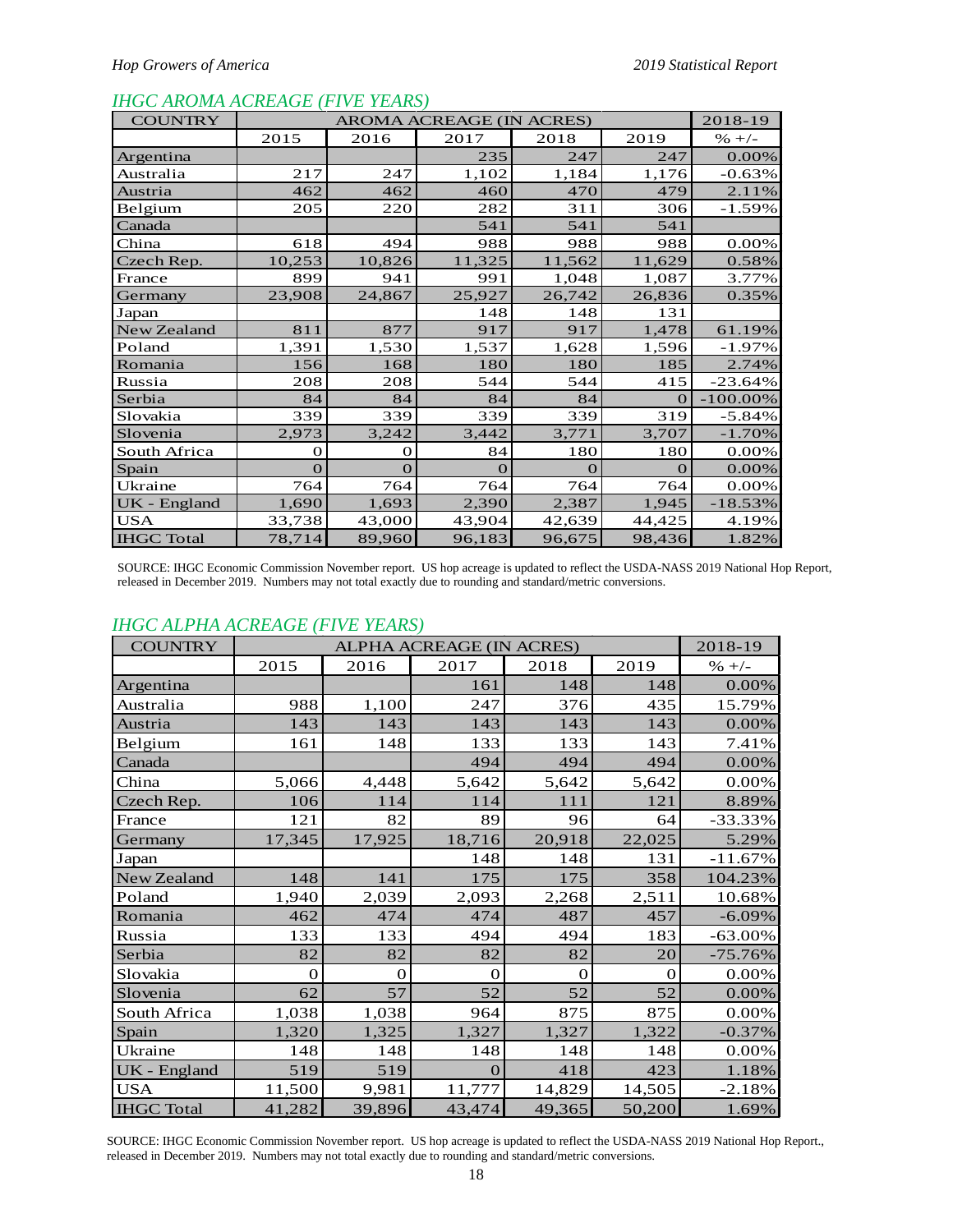## *IHGC AROMA ACREAGE (FIVE YEARS)*

| <b>COUNTRY</b>    |          | AROMA ACREAGE (IN ACRES) |        |        |          |             |  |  |  |  |  |
|-------------------|----------|--------------------------|--------|--------|----------|-------------|--|--|--|--|--|
|                   | 2015     | 2016                     | 2017   | 2018   | 2019     | $% +/-$     |  |  |  |  |  |
| Argentina         |          |                          | 235    | 247    | 247      | 0.00%       |  |  |  |  |  |
| Australia         | 217      | 247                      | 1,102  | 1,184  | 1,176    | $-0.63%$    |  |  |  |  |  |
| Austria           | 462      | 462                      | 460    | 470    | 479      | 2.11%       |  |  |  |  |  |
| Belgium           | 205      | 220                      | 282    | 311    | 306      | $-1.59%$    |  |  |  |  |  |
| Canada            |          |                          | 541    | 541    | 541      |             |  |  |  |  |  |
| China             | 618      | 494                      | 988    | 988    | 988      | 0.00%       |  |  |  |  |  |
| Czech Rep.        | 10,253   | 10,826                   | 11,325 | 11,562 | 11,629   | 0.58%       |  |  |  |  |  |
| France            | 899      | 941                      | 991    | 1,048  | 1,087    | 3.77%       |  |  |  |  |  |
| Germany           | 23,908   | 24,867                   | 25,927 | 26,742 | 26,836   | 0.35%       |  |  |  |  |  |
| Japan             |          |                          | 148    | 148    | 131      |             |  |  |  |  |  |
| New Zealand       | 811      | 877                      | 917    | 917    | 1,478    | 61.19%      |  |  |  |  |  |
| Poland            | 1,391    | 1,530                    | 1,537  | 1,628  | 1,596    | $-1.97%$    |  |  |  |  |  |
| Romania           | 156      | 168                      | 180    | 180    | 185      | 2.74%       |  |  |  |  |  |
| Russia            | 208      | 208                      | 544    | 544    | 415      | $-23.64%$   |  |  |  |  |  |
| Serbia            | 84       | 84                       | 84     | 84     | $\Omega$ | $-100.00\%$ |  |  |  |  |  |
| Slovakia          | 339      | 339                      | 339    | 339    | 319      | $-5.84%$    |  |  |  |  |  |
| Slovenia          | 2,973    | 3,242                    | 3,442  | 3,771  | 3,707    | $-1.70%$    |  |  |  |  |  |
| South Africa      | O        | $\Omega$                 | 84     | 180    | 180      | 0.00%       |  |  |  |  |  |
| Spain             | $\Omega$ | $\Omega$                 | O      | O      | $\Omega$ | 0.00%       |  |  |  |  |  |
| Ukraine           | 764      | 764                      | 764    | 764    | 764      | 0.00%       |  |  |  |  |  |
| UK - England      | 1,690    | 1,693                    | 2,390  | 2,387  | 1,945    | $-18.53%$   |  |  |  |  |  |
| <b>USA</b>        | 33,738   | 43,000                   | 43,904 | 42,639 | 44,425   | 4.19%       |  |  |  |  |  |
| <b>IHGC</b> Total | 78,714   | 89,960                   | 96,183 | 96,675 | 98,436   | 1.82%       |  |  |  |  |  |

SOURCE: IHGC Economic Commission November report. US hop acreage is updated to reflect the USDA-NASS 2019 National Hop Report, released in December 2019. Numbers may not total exactly due to rounding and standard/metric conversions.

## *IHGC ALPHA ACREAGE (FIVE YEARS)*

| <b>COUNTRY</b>    |        |          | ALPHA ACREAGE (IN ACRES) |          |        | 2018-19    |
|-------------------|--------|----------|--------------------------|----------|--------|------------|
|                   | 2015   | 2016     | 2017                     | 2018     | 2019   | $% +/-$    |
| Argentina         |        |          | 161                      | 148      | 148    | 0.00%      |
| Australia         | 988    | 1,100    | 247                      | 376      | 435    | 15.79%     |
| Austria           | 143    | 143      | 143                      | 143      | 143    | $0.00\%$   |
| Belgium           | 161    | 148      | 133                      | 133      | 143    | 7.41%      |
| Canada            |        |          | 494                      | 494      | 494    | 0.00%      |
| China             | 5,066  | 4,448    | 5,642                    | 5,642    | 5,642  | $0.00\%$   |
| Czech Rep.        | 106    | 114      | 114                      | 111      | 121    | 8.89%      |
| France            | 121    | 82       | 89                       | 96       | 64     | $-33.33%$  |
| Germany           | 17,345 | 17,925   | 18,716                   | 20,918   | 22,025 | 5.29%      |
| Japan             |        |          | 148                      | 148      | 131    | $-11.67\%$ |
| New Zealand       | 148    | 141      | 175                      | 175      | 358    | 104.23%    |
| Poland            | 1,940  | 2,039    | 2,093                    | 2,268    | 2,511  | 10.68%     |
| Romania           | 462    | 474      | 474                      | 487      | 457    | $-6.09%$   |
| Russia            | 133    | 133      | 494                      | 494      | 183    | $-63.00\%$ |
| Serbia            | 82     | 82       | 82                       | 82       | 20     | $-75.76%$  |
| Slovakia          | 0      | $\Omega$ | 0                        | $\Omega$ | 0      | 0.00%      |
| Slovenia          | 62     | 57       | 52                       | 52       | 52     | 0.00%      |
| South Africa      | 1,038  | 1,038    | 964                      | 875      | 875    | 0.00%      |
| Spain             | 1,320  | 1,325    | 1,327                    | 1,327    | 1,322  | $-0.37%$   |
| Ukraine           | 148    | 148      | 148                      | 148      | 148    | 0.00%      |
| UK - England      | 519    | 519      | 0                        | 418      | 423    | 1.18%      |
| <b>USA</b>        | 11,500 | 9,981    | 11,777                   | 14,829   | 14,505 | $-2.18%$   |
| <b>IHGC</b> Total | 41,282 | 39,896   | 43,474                   | 49,365   | 50,200 | 1.69%      |

SOURCE: IHGC Economic Commission November report. US hop acreage is updated to reflect the USDA-NASS 2019 National Hop Report., released in December 2019. Numbers may not total exactly due to rounding and standard/metric conversions.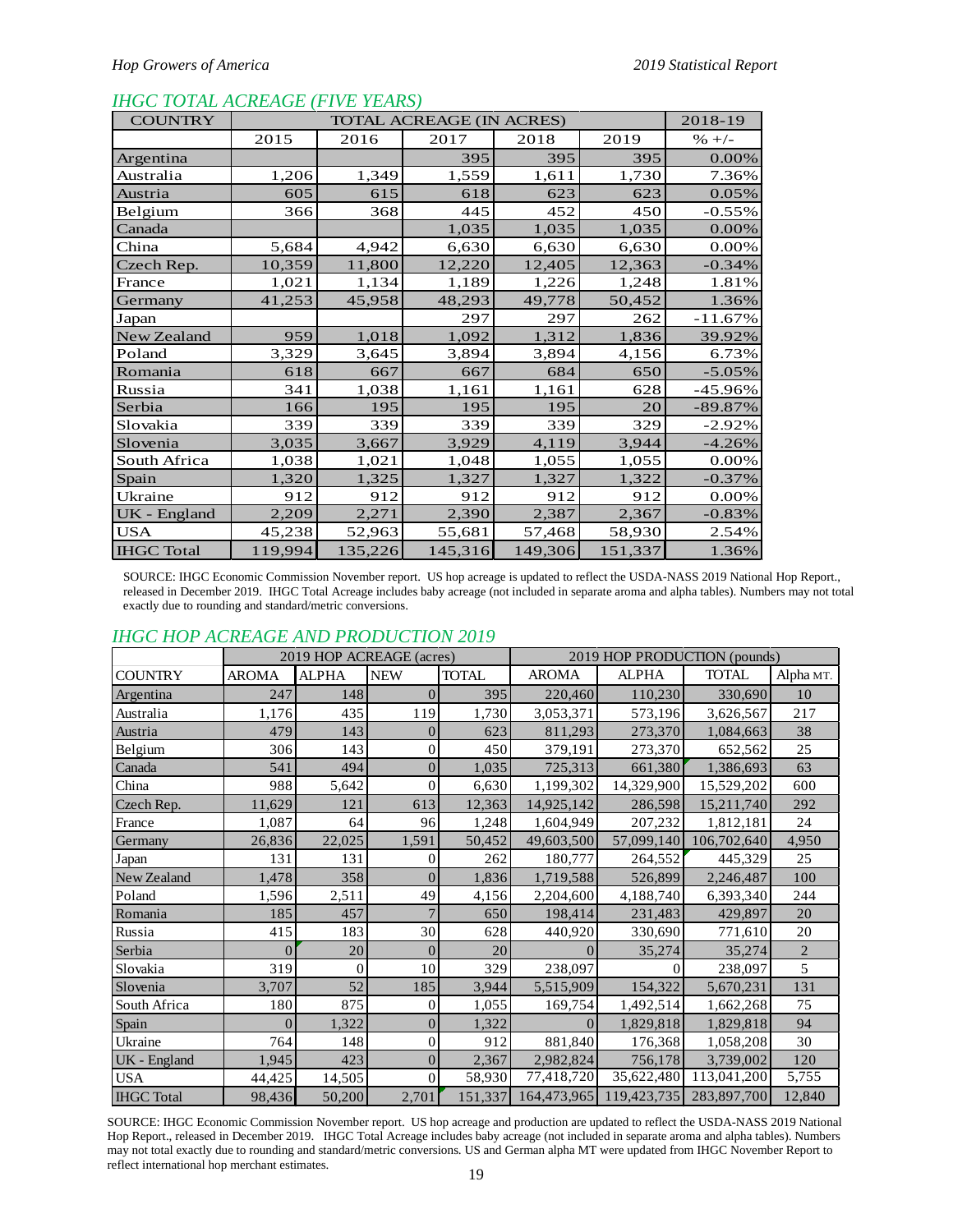#### *IHGC TOTAL ACREAGE (FIVE YEARS)*

| <b>COUNTRY</b>    |         |         | 2018-19 |         |         |           |
|-------------------|---------|---------|---------|---------|---------|-----------|
|                   | 2015    | 2016    | 2017    | 2018    | 2019    | $% +/-$   |
| Argentina         |         |         | 395     | 395     | 395     | 0.00%     |
| Australia         | 1,206   | 1,349   | 1,559   | 1,611   | 1,730   | 7.36%     |
| Austria           | 605     | 615     | 618     | 623     | 623     | 0.05%     |
| Belgium           | 366     | 368     | 445     | 452     | 450     | $-0.55%$  |
| Canada            |         |         | 1,035   | 1,035   | 1,035   | $0.00\%$  |
| China             | 5,684   | 4,942   | 6,630   | 6,630   | 6,630   | $0.00\%$  |
| Czech Rep.        | 10,359  | 11,800  | 12,220  | 12,405  | 12,363  | $-0.34%$  |
| France            | 1,021   | 1,134   | 1,189   | 1,226   | 1,248   | 1.81%     |
| Germany           | 41,253  | 45,958  | 48,293  | 49,778  | 50,452  | 1.36%     |
| Japan             |         |         | 297     | 297     | 262     | $-11.67%$ |
| New Zealand       | 959     | 1,018   | 1,092   | 1,312   | 1,836   | 39.92%    |
| Poland            | 3,329   | 3,645   | 3,894   | 3,894   | 4,156   | 6.73%     |
| Romania           | 618     | 667     | 667     | 684     | 650     | $-5.05%$  |
| Russia            | 341     | 1,038   | 1,161   | 1,161   | 628     | -45.96%   |
| Serbia            | 166     | 195     | 195     | 195     | 20      | $-89.87%$ |
| Slovakia          | 339     | 339     | 339     | 339     | 329     | $-2.92%$  |
| Slovenia          | 3,035   | 3,667   | 3,929   | 4,119   | 3,944   | $-4.26%$  |
| South Africa      | 1,038   | 1,021   | 1,048   | 1,055   | 1,055   | $0.00\%$  |
| Spain             | 1,320   | 1,325   | 1,327   | 1,327   | 1,322   | $-0.37%$  |
| Ukraine           | 912     | 912     | 912     | 912     | 912     | 0.00%     |
| UK - England      | 2,209   | 2,271   | 2,390   | 2,387   | 2,367   | $-0.83%$  |
| <b>USA</b>        | 45,238  | 52,963  | 55,681  | 57,468  | 58,930  | 2.54%     |
| <b>IHGC</b> Total | 119,994 | 135,226 | 145,316 | 149,306 | 151,337 | 1.36%     |

SOURCE: IHGC Economic Commission November report. US hop acreage is updated to reflect the USDA-NASS 2019 National Hop Report., released in December 2019. IHGC Total Acreage includes baby acreage (not included in separate aroma and alpha tables). Numbers may not total exactly due to rounding and standard/metric conversions.

## *IHGC HOP ACREAGE AND PRODUCTION 2019*

|                   | <u>HIUC HUI ACKLAUL AND FRODUCTION 2019</u> |                          |                |              |                |              |                              |                |  |  |  |  |  |
|-------------------|---------------------------------------------|--------------------------|----------------|--------------|----------------|--------------|------------------------------|----------------|--|--|--|--|--|
|                   |                                             | 2019 HOP ACREAGE (acres) |                |              |                |              | 2019 HOP PRODUCTION (pounds) |                |  |  |  |  |  |
| <b>COUNTRY</b>    | <b>AROMA</b>                                | <b>ALPHA</b>             | <b>NEW</b>     | <b>TOTAL</b> | <b>AROMA</b>   | <b>ALPHA</b> | <b>TOTAL</b>                 | Alpha MT.      |  |  |  |  |  |
| Argentina         | 247                                         | 148                      | $\Omega$       | 395          | 220,460        | 110,230      | 330,690                      | 10             |  |  |  |  |  |
| Australia         | 1,176                                       | 435                      | 119            | 1,730        | 3,053,371      | 573,196      | 3,626,567                    | 217            |  |  |  |  |  |
| Austria           | 479                                         | 143                      | $\theta$       | 623          | 811,293        | 273,370      | 1,084,663                    | 38             |  |  |  |  |  |
| Belgium           | 306                                         | 143                      | $\overline{0}$ | 450          | 379,191        | 273,370      | 652,562                      | 25             |  |  |  |  |  |
| Canada            | 541                                         | 494                      | $\overline{0}$ | 1,035        | 725,313        | 661,380      | 1,386,693                    | 63             |  |  |  |  |  |
| China             | 988                                         | 5,642                    | $\theta$       | 6,630        | 1,199,302      | 14,329,900   | 15,529,202                   | 600            |  |  |  |  |  |
| Czech Rep.        | 11,629                                      | 121                      | 613            | 12,363       | 14,925,142     | 286,598      | 15,211,740                   | 292            |  |  |  |  |  |
| France            | 1,087                                       | 64                       | 96             | 1,248        | 1,604,949      | 207,232      | 1,812,181                    | 24             |  |  |  |  |  |
| Germany           | 26,836                                      | 22,025                   | 1,591          | 50,452       | 49,603,500     | 57,099,140   | 106,702,640                  | 4,950          |  |  |  |  |  |
| Japan             | 131                                         | 131                      | $\Omega$       | 262          | 180,777        | 264,552      | 445,329                      | 25             |  |  |  |  |  |
| New Zealand       | 1,478                                       | 358                      | $\Omega$       | 1,836        | 1,719,588      | 526,899      | 2,246,487                    | 100            |  |  |  |  |  |
| Poland            | 1,596                                       | 2,511                    | 49             | 4,156        | 2,204,600      | 4,188,740    | 6,393,340                    | 244            |  |  |  |  |  |
| Romania           | 185                                         | 457                      | 7              | 650          | 198,414        | 231,483      | 429,897                      | 20             |  |  |  |  |  |
| Russia            | 415                                         | 183                      | 30             | 628          | 440,920        | 330,690      | 771,610                      | 20             |  |  |  |  |  |
| Serbia            | 0                                           | 20                       | $\Omega$       | 20           | $\theta$       | 35,274       | 35,274                       | $\overline{2}$ |  |  |  |  |  |
| Slovakia          | 319                                         | $\Omega$                 | 10             | 329          | 238,097        |              | 238,097                      | 5              |  |  |  |  |  |
| Slovenia          | 3,707                                       | 52                       | 185            | 3,944        | 5,515,909      | 154,322      | 5,670,231                    | 131            |  |  |  |  |  |
| South Africa      | 180                                         | 875                      | $\overline{0}$ | 1,055        | 169,754        | 1,492,514    | 1,662,268                    | 75             |  |  |  |  |  |
| Spain             | 0                                           | 1,322                    | $\overline{0}$ | 1,322        | $\overline{0}$ | 1,829,818    | 1,829,818                    | 94             |  |  |  |  |  |
| Ukraine           | 764                                         | 148                      | $\overline{0}$ | 912          | 881,840        | 176,368      | 1,058,208                    | 30             |  |  |  |  |  |
| UK - England      | 1,945                                       | 423                      | $\overline{0}$ | 2,367        | 2,982,824      | 756,178      | 3,739,002                    | 120            |  |  |  |  |  |
| <b>USA</b>        | 44,425                                      | 14,505                   | $\overline{0}$ | 58,930       | 77,418,720     | 35,622,480   | 113,041,200                  | 5,755          |  |  |  |  |  |
| <b>IHGC</b> Total | 98,436                                      | 50,200                   | 2,701          | 151,337      | 164,473,965    | 119,423,735  | 283,897,700                  | 12,840         |  |  |  |  |  |

SOURCE: IHGC Economic Commission November report. US hop acreage and production are updated to reflect the USDA-NASS 2019 National Hop Report., released in December 2019. IHGC Total Acreage includes baby acreage (not included in separate aroma and alpha tables). Numbers may not total exactly due to rounding and standard/metric conversions. US and German alpha MT were updated from IHGC November Report to reflect international hop merchant estimates.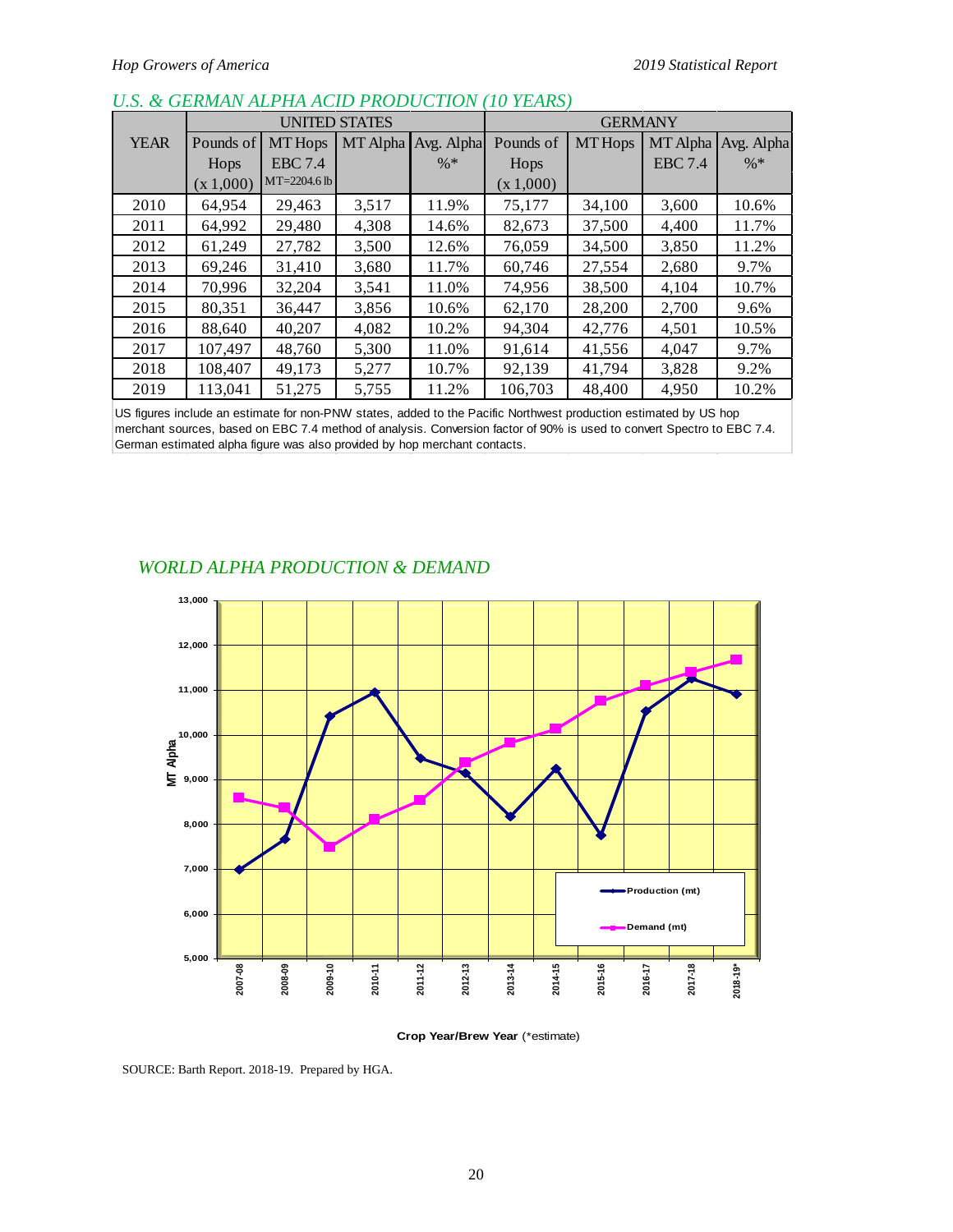|             |           |                | UNITED STATES |            |           | <b>GERMANY</b> |                |            |
|-------------|-----------|----------------|---------------|------------|-----------|----------------|----------------|------------|
| <b>YEAR</b> | Pounds of | <b>MT</b> Hops | MT Alpha      | Avg. Alpha | Pounds of | <b>MT</b> Hops | MT Alpha       | Avg. Alpha |
|             | Hops      | <b>EBC</b> 7.4 |               | $\% *$     | Hops      |                | <b>EBC</b> 7.4 | $\% *$     |
|             | (x 1,000) | $MT=2204.6$ lb |               |            | (x 1,000) |                |                |            |
| 2010        | 64.954    | 29.463         | 3,517         | 11.9%      | 75,177    | 34,100         | 3,600          | 10.6%      |
| 2011        | 64.992    | 29,480         | 4,308         | 14.6%      | 82,673    | 37,500         | 4,400          | 11.7%      |
| 2012        | 61,249    | 27,782         | 3,500         | 12.6%      | 76,059    | 34,500         | 3,850          | 11.2%      |
| 2013        | 69,246    | 31,410         | 3,680         | 11.7%      | 60,746    | 27,554         | 2,680          | 9.7%       |
| 2014        | 70,996    | 32,204         | 3,541         | 11.0%      | 74,956    | 38,500         | 4,104          | 10.7%      |
| 2015        | 80,351    | 36,447         | 3,856         | 10.6%      | 62,170    | 28,200         | 2,700          | 9.6%       |
| 2016        | 88,640    | 40,207         | 4,082         | 10.2%      | 94,304    | 42,776         | 4,501          | 10.5%      |
| 2017        | 107,497   | 48.760         | 5,300         | 11.0%      | 91,614    | 41,556         | 4,047          | 9.7%       |
| 2018        | 108,407   | 49.173         | 5,277         | 10.7%      | 92,139    | 41.794         | 3.828          | 9.2%       |
| 2019        | 113.041   | 51,275         | 5,755         | 11.2%      | 106.703   | 48,400         | 4,950          | 10.2%      |

# *U.S. & GERMAN ALPHA ACID PRODUCTION (10 YEARS)*

US figures include an estimate for non-PNW states, added to the Pacific Northwest production estimated by US hop merchant sources, based on EBC 7.4 method of analysis. Conversion factor of 90% is used to convert Spectro to EBC 7.4. German estimated alpha figure was also provided by hop merchant contacts.

## *WORLD ALPHA PRODUCTION & DEMAND*



**Crop Year/Brew Year** (\*estimate)

SOURCE: Barth Report. 2018-19. Prepared by HGA.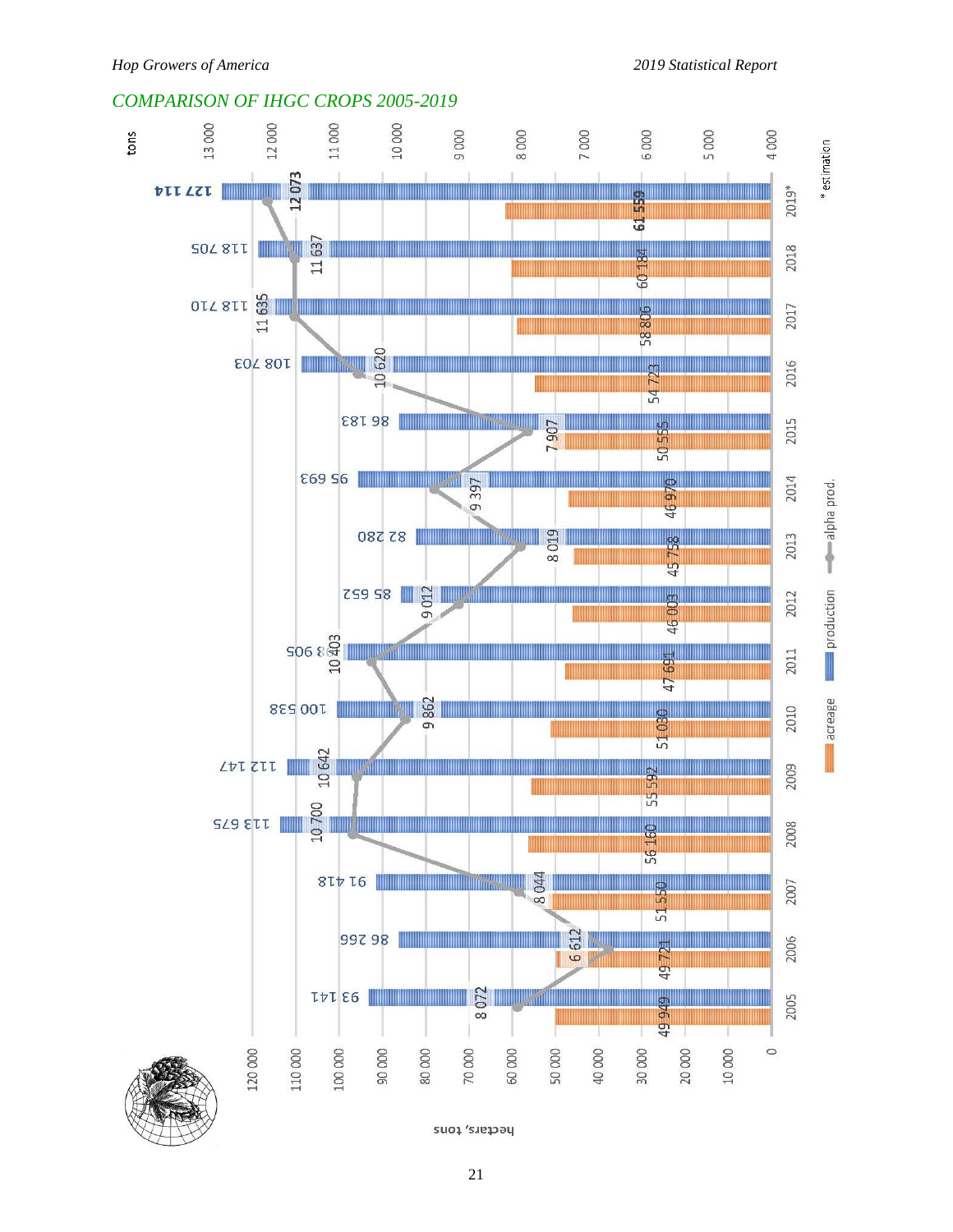## *COMPARISON OF IHGC CROPS 2005-2019*

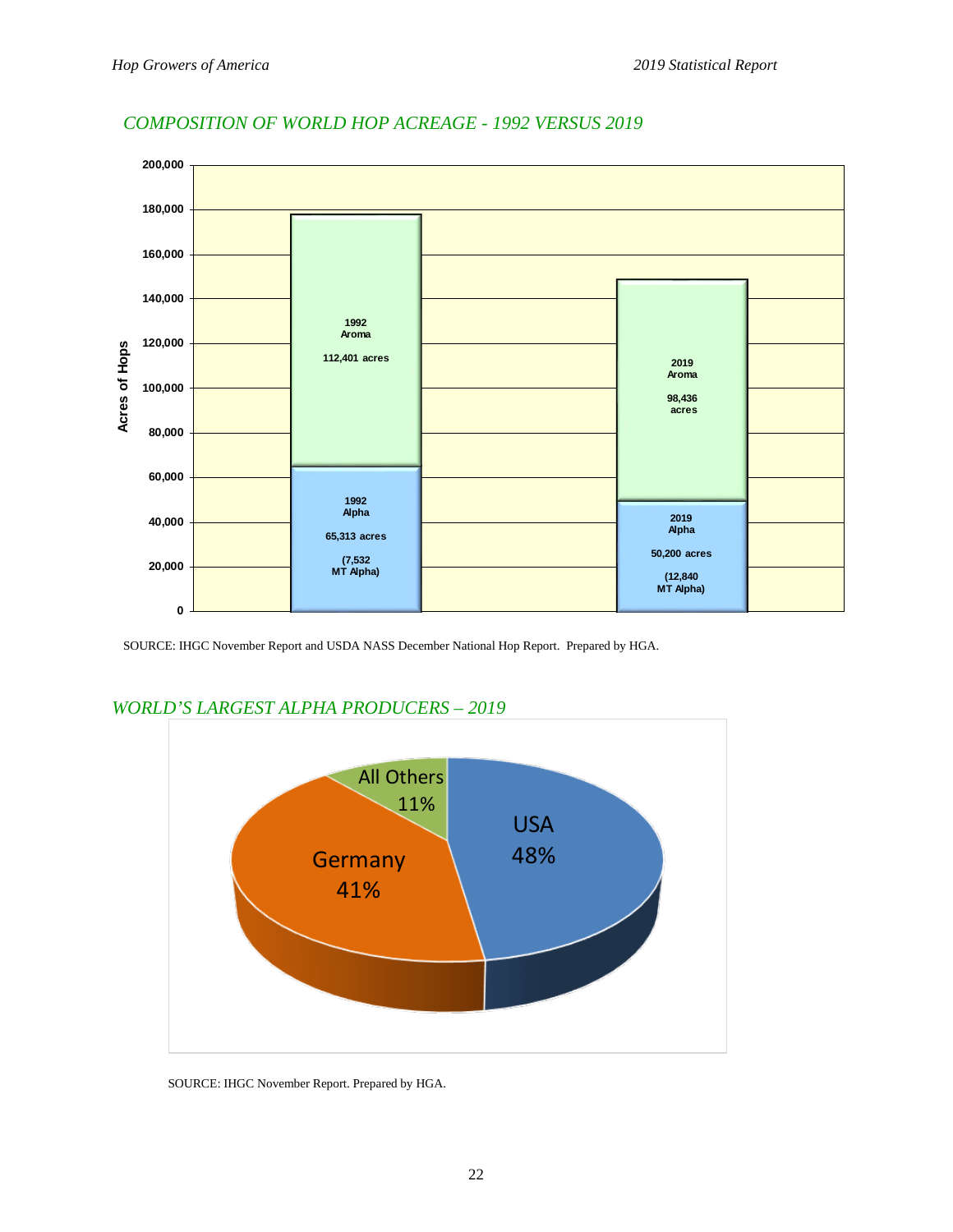

# *COMPOSITION OF WORLD HOP ACREAGE - 1992 VERSUS 2019*

SOURCE: IHGC November Report and USDA NASS December National Hop Report. Prepared by HGA.



# *WORLD'S LARGEST ALPHA PRODUCERS – 2019*

SOURCE: IHGC November Report. Prepared by HGA.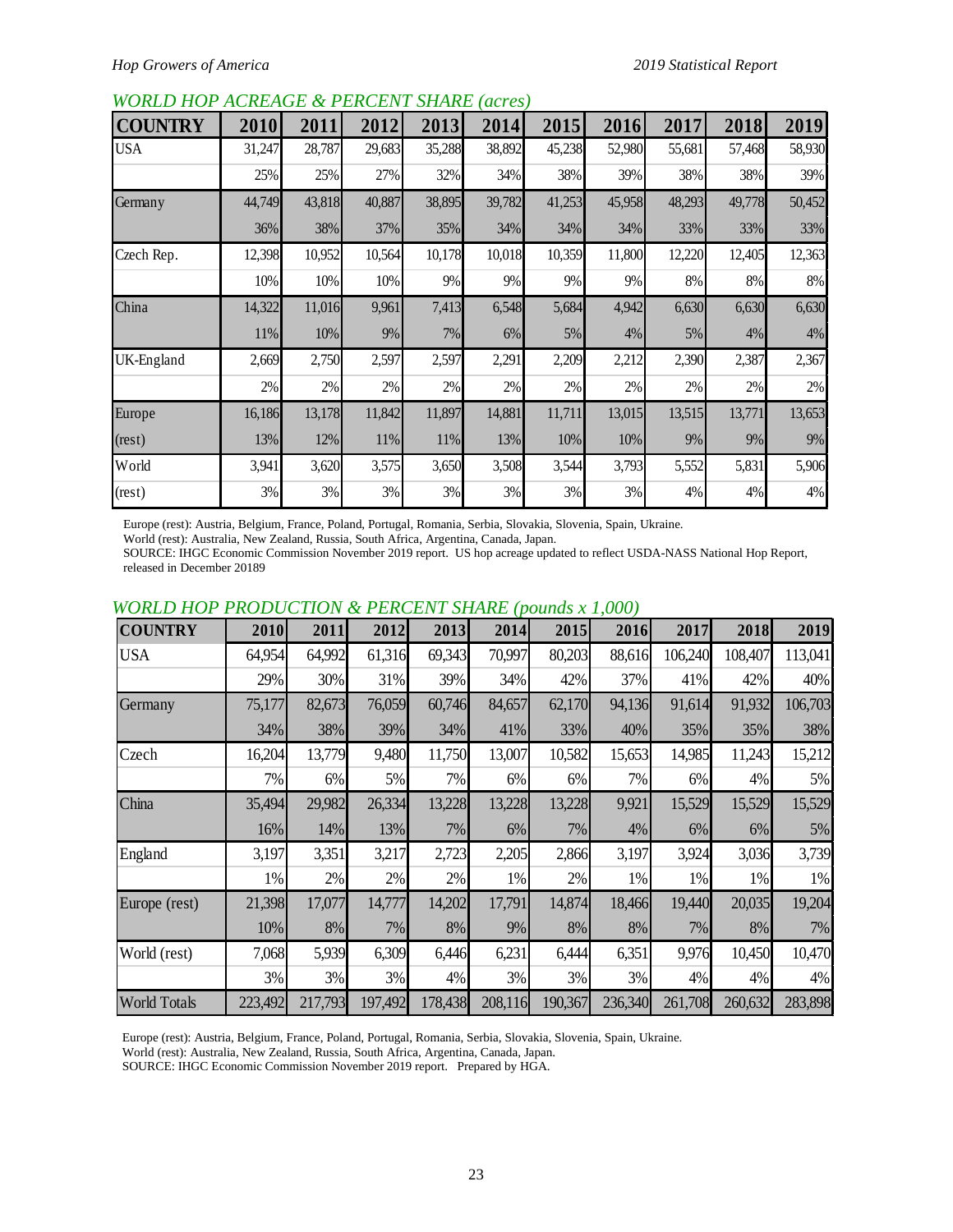## *WORLD HOP ACREAGE & PERCENT SHARE (acres)*

| <b>COUNTRY</b> | 2010   | 2011   | 2012   | 2013   | 2014   | 2015   | 2016   | 2017   | 2018   | 2019   |
|----------------|--------|--------|--------|--------|--------|--------|--------|--------|--------|--------|
| <b>USA</b>     | 31,247 | 28,787 | 29,683 | 35,288 | 38,892 | 45,238 | 52,980 | 55,681 | 57,468 | 58,930 |
|                | 25%    | 25%    | 27%    | 32%    | 34%    | 38%    | 39%    | 38%    | 38%    | 39%    |
| Germany        | 44,749 | 43,818 | 40,887 | 38,895 | 39,782 | 41,253 | 45,958 | 48,293 | 49,778 | 50,452 |
|                | 36%    | 38%    | 37%    | 35%    | 34%    | 34%    | 34%    | 33%    | 33%    | 33%    |
| Czech Rep.     | 12,398 | 10,952 | 10,564 | 10,178 | 10,018 | 10,359 | 11,800 | 12,220 | 12,405 | 12,363 |
|                | 10%    | 10%    | 10%    | 9%     | 9%     | 9%     | 9%     | 8%     | 8%     | 8%     |
| China          | 14,322 | 11,016 | 9,961  | 7,413  | 6,548  | 5,684  | 4,942  | 6,630  | 6,630  | 6,630  |
|                | 11%    | 10%    | 9%     | 7%     | 6%     | 5%     | 4%     | 5%     | 4%     | 4%     |
| UK-England     | 2,669  | 2,750  | 2,597  | 2,597  | 2,291  | 2,209  | 2,212  | 2,390  | 2,387  | 2,367  |
|                | 2%     | 2%     | 2%     | 2%     | 2%     | 2%     | 2%     | 2%     | 2%     | 2%     |
| Europe         | 16,186 | 13,178 | 11,842 | 11,897 | 14,881 | 11,711 | 13,015 | 13,515 | 13,771 | 13,653 |
| (rest)         | 13%    | 12%    | 11%    | 11%    | 13%    | 10%    | 10%    | 9%     | 9%     | 9%     |
| World          | 3,941  | 3,620  | 3,575  | 3,650  | 3,508  | 3,544  | 3,793  | 5,552  | 5,831  | 5,906  |
| (rest)         | 3%     | 3%     | 3%     | 3%     | 3%     | 3%     | 3%     | 4%     | 4%     | 4%     |

Europe (rest): Austria, Belgium, France, Poland, Portugal, Romania, Serbia, Slovakia, Slovenia, Spain, Ukraine.

World (rest): Australia, New Zealand, Russia, South Africa, Argentina, Canada, Japan.

SOURCE: IHGC Economic Commission November 2019 report. US hop acreage updated to reflect USDA-NASS National Hop Report, released in December 20189

| <b>COUNTRY</b>      | 2010    | 2011    | 2012    | 2013    | 2014    | 2015    | 2016    | 2017    | 2018    | 2019    |
|---------------------|---------|---------|---------|---------|---------|---------|---------|---------|---------|---------|
| <b>USA</b>          | 64,954  | 64,992  | 61,316  | 69,343  | 70,997  | 80,203  | 88,616  | 106,240 | 108,407 | 113,041 |
|                     | 29%     | 30%     | 31%     | 39%     | 34%     | 42%     | 37%     | 41%     | 42%     | 40%     |
| Germany             | 75,177  | 82,673  | 76,059  | 60,746  | 84,657  | 62,170  | 94,136  | 91,614  | 91,932  | 106,703 |
|                     | 34%     | 38%     | 39%     | 34%     | 41%     | 33%     | 40%     | 35%     | 35%     | 38%     |
| Czech               | 16,204  | 13,779  | 9,480   | 11,750  | 13,007  | 10,582  | 15,653  | 14,985  | 11,243  | 15,212  |
|                     | 7%      | 6%      | 5%      | 7%      | 6%      | 6%      | 7%      | $6\%$   | 4%      | 5%      |
| China               | 35,494  | 29,982  | 26,334  | 13,228  | 13,228  | 13,228  | 9,921   | 15,529  | 15,529  | 15,529  |
|                     | 16%     | 14%     | 13%     | 7%      | 6%      | 7%      | 4%      | 6%      | 6%      | 5%      |
| England             | 3,197   | 3,351   | 3,217   | 2,723   | 2,205   | 2,866   | 3,197   | 3,924   | 3,036   | 3,739   |
|                     | 1%      | 2%      | 2%      | 2%      | 1%      | 2%      | 1%      | 1%      | 1%      | 1%      |
| Europe (rest)       | 21,398  | 17,077  | 14,777  | 14,202  | 17,791  | 14,874  | 18,466  | 19,440  | 20,035  | 19,204  |
|                     | 10%     | 8%      | 7%      | 8%      | 9%      | 8%      | 8%      | 7%      | 8%      | 7%      |
| World (rest)        | 7,068   | 5,939   | 6,309   | 6,446   | 6,231   | 6,444   | 6,351   | 9,976   | 10,450  | 10,470  |
|                     | 3%      | 3%      | 3%      | 4%      | 3%      | 3%      | 3%      | 4%      | 4%      | 4%      |
| <b>World Totals</b> | 223,492 | 217,793 | 197,492 | 178,438 | 208,116 | 190,367 | 236,340 | 261,708 | 260,632 | 283,898 |

# *WORLD HOP PRODUCTION & PERCENT SHARE (pounds x 1,000)*

Europe (rest): Austria, Belgium, France, Poland, Portugal, Romania, Serbia, Slovakia, Slovenia, Spain, Ukraine.

World (rest): Australia, New Zealand, Russia, South Africa, Argentina, Canada, Japan.

SOURCE: IHGC Economic Commission November 2019 report. Prepared by HGA.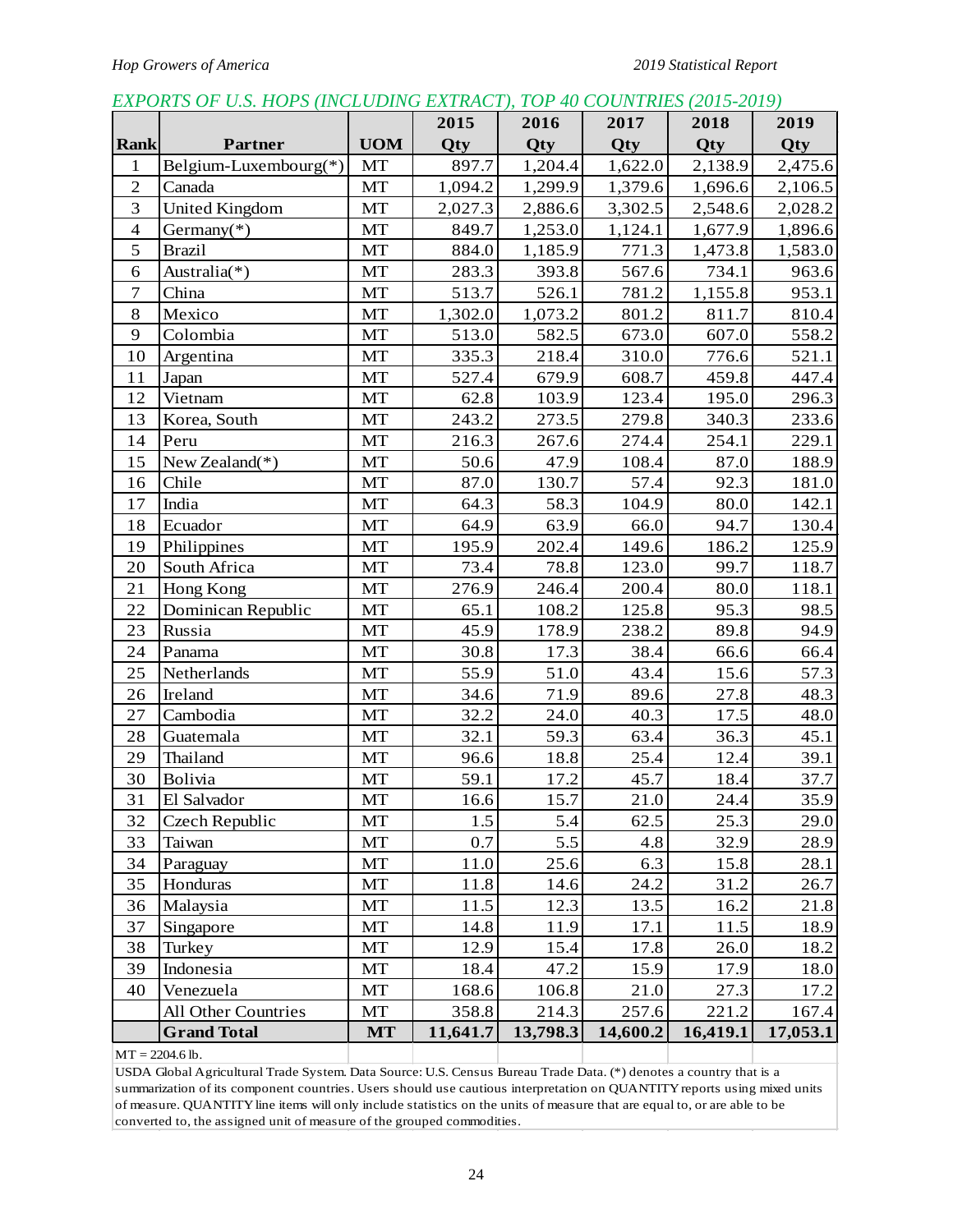# *EXPORTS OF U.S. HOPS (INCLUDING EXTRACT), TOP 40 COUNTRIES (2015-2019)*

|                  |                       |            | 2015     | 2016     | 2017     | 2018     | 2019     |
|------------------|-----------------------|------------|----------|----------|----------|----------|----------|
| <b>Rank</b>      | <b>Partner</b>        | <b>UOM</b> | Qty      | Qty      | Qty      | Qty      | Qty      |
| $\mathbf{1}$     | Belgium-Luxembourg(*) | MT         | 897.7    | 1,204.4  | 1,622.0  | 2,138.9  | 2,475.6  |
| $\sqrt{2}$       | Canada                | MT         | 1,094.2  | 1,299.9  | 1,379.6  | 1,696.6  | 2,106.5  |
| $\overline{3}$   | <b>United Kingdom</b> | MT         | 2,027.3  | 2,886.6  | 3,302.5  | 2,548.6  | 2,028.2  |
| $\overline{4}$   | Germany $(*)$         | MT         | 849.7    | 1,253.0  | 1,124.1  | 1,677.9  | 1,896.6  |
| 5                | <b>Brazil</b>         | MT         | 884.0    | 1,185.9  | 771.3    | 1,473.8  | 1,583.0  |
| 6                | Australia(*)          | MT         | 283.3    | 393.8    | 567.6    | 734.1    | 963.6    |
| $\boldsymbol{7}$ | China                 | MT         | 513.7    | 526.1    | 781.2    | 1,155.8  | 953.1    |
| $8\,$            | Mexico                | MT         | 1,302.0  | 1,073.2  | 801.2    | 811.7    | 810.4    |
| 9                | Colombia              | MT         | 513.0    | 582.5    | 673.0    | 607.0    | 558.2    |
| 10               | Argentina             | MT         | 335.3    | 218.4    | 310.0    | 776.6    | 521.1    |
| 11               | Japan                 | MT         | 527.4    | 679.9    | 608.7    | 459.8    | 447.4    |
| 12               | Vietnam               | <b>MT</b>  | 62.8     | 103.9    | 123.4    | 195.0    | 296.3    |
| 13               | Korea, South          | MT         | 243.2    | 273.5    | 279.8    | 340.3    | 233.6    |
| 14               | Peru                  | MT         | 216.3    | 267.6    | 274.4    | 254.1    | 229.1    |
| 15               | New Zealand $(*)$     | MT         | 50.6     | 47.9     | 108.4    | 87.0     | 188.9    |
| 16               | Chile                 | MT         | 87.0     | 130.7    | 57.4     | 92.3     | 181.0    |
| 17               | India                 | MT         | 64.3     | 58.3     | 104.9    | 80.0     | 142.1    |
| 18               | Ecuador               | MT         | 64.9     | 63.9     | 66.0     | 94.7     | 130.4    |
| 19               | Philippines           | MT         | 195.9    | 202.4    | 149.6    | 186.2    | 125.9    |
| 20               | South Africa          | MT         | 73.4     | 78.8     | 123.0    | 99.7     | 118.7    |
| 21               | Hong Kong             | MT         | 276.9    | 246.4    | 200.4    | 80.0     | 118.1    |
| 22               | Dominican Republic    | MT         | 65.1     | 108.2    | 125.8    | 95.3     | 98.5     |
| 23               | Russia                | MT         | 45.9     | 178.9    | 238.2    | 89.8     | 94.9     |
| 24               | Panama                | MT         | 30.8     | 17.3     | 38.4     | 66.6     | 66.4     |
| 25               | Netherlands           | MT         | 55.9     | 51.0     | 43.4     | 15.6     | 57.3     |
| 26               | Ireland               | MT         | 34.6     | 71.9     | 89.6     | 27.8     | 48.3     |
| 27               | Cambodia              | MT         | 32.2     | 24.0     | 40.3     | 17.5     | 48.0     |
| 28               | Guatemala             | MT         | 32.1     | 59.3     | 63.4     | 36.3     | 45.1     |
| 29               | Thailand              | MT         | 96.6     | 18.8     | 25.4     | 12.4     | 39.1     |
| 30               | Bolivia               | MT         | 59.1     | 17.2     | 45.7     | 18.4     | 37.7     |
| 31               | El Salvador           | MT         | 16.6     | 15.7     | $21.0\,$ | 24.4     | 35.9     |
| 32               | Czech Republic        | MT         | 1.5      | 5.4      | 62.5     | 25.3     | 29.0     |
| 33               | Taiwan                | MT         | 0.7      | 5.5      | 4.8      | 32.9     | 28.9     |
| 34               | Paraguay              | MT         | 11.0     | 25.6     | 6.3      | 15.8     | 28.1     |
| 35               | Honduras              | MT         | 11.8     | 14.6     | 24.2     | 31.2     | 26.7     |
| 36               | Malaysia              | MT         | 11.5     | 12.3     | 13.5     | 16.2     | 21.8     |
| 37               | Singapore             | MT         | 14.8     | 11.9     | 17.1     | 11.5     | 18.9     |
| 38               | Turkey                | MT         | 12.9     | 15.4     | 17.8     | 26.0     | 18.2     |
| 39               | Indonesia             | MT         | 18.4     | 47.2     | 15.9     | 17.9     | 18.0     |
| 40               | Venezuela             | MT         | 168.6    | 106.8    | 21.0     | 27.3     | 17.2     |
|                  | All Other Countries   | MT         | 358.8    | 214.3    | 257.6    | 221.2    | 167.4    |
|                  | <b>Grand Total</b>    | <b>MT</b>  | 11,641.7 | 13,798.3 | 14,600.2 | 16,419.1 | 17,053.1 |
|                  | $MT = 2204.6$ lb.     |            |          |          |          |          |          |

 $MT = 2204.6$  lb.

USDA Global Agricultural Trade System. Data Source: U.S. Census Bureau Trade Data. (\*) denotes a country that is a summarization of its component countries. Users should use cautious interpretation on QUANTITY reports using mixed units of measure. QUANTITY line items will only include statistics on the units of measure that are equal to, or are able to be converted to, the assigned unit of measure of the grouped commodities.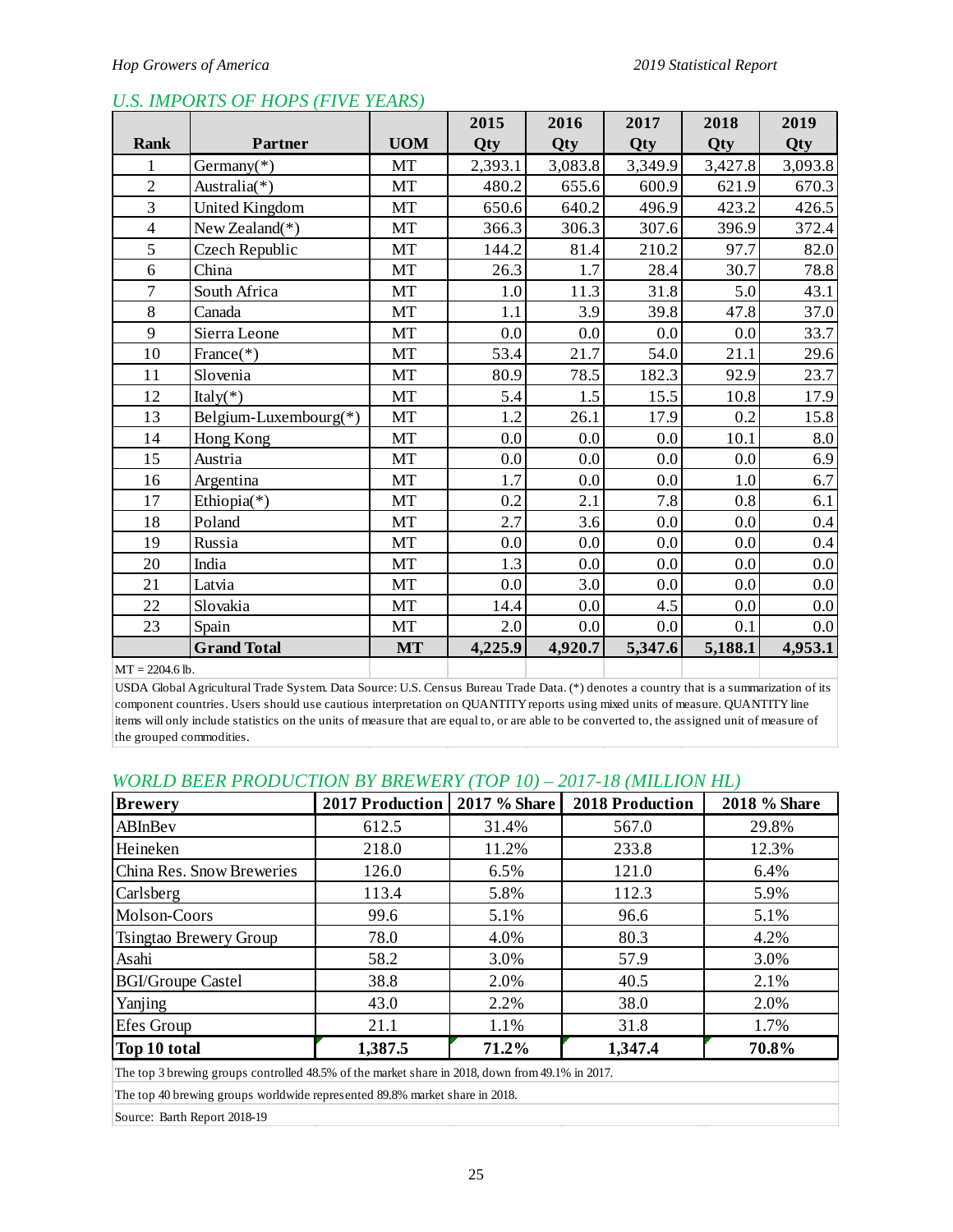|                |                       |            | 2015    | 2016    | 2017    | 2018    | 2019    |
|----------------|-----------------------|------------|---------|---------|---------|---------|---------|
| <b>Rank</b>    | <b>Partner</b>        | <b>UOM</b> | Qty     | Qty     | Qty     | Qty     | Qty     |
| $\mathbf{1}$   | Germany $(*)$         | MT         | 2,393.1 | 3,083.8 | 3,349.9 | 3,427.8 | 3,093.8 |
| $\overline{2}$ | Australia(*)          | MT         | 480.2   | 655.6   | 600.9   | 621.9   | 670.3   |
| $\overline{3}$ | United Kingdom        | MT         | 650.6   | 640.2   | 496.9   | 423.2   | 426.5   |
| $\overline{4}$ | New Zealand $(*)$     | MT         | 366.3   | 306.3   | 307.6   | 396.9   | 372.4   |
| 5              | Czech Republic        | MT         | 144.2   | 81.4    | 210.2   | 97.7    | 82.0    |
| 6              | China                 | MT         | 26.3    | 1.7     | 28.4    | 30.7    | 78.8    |
| $\overline{7}$ | South Africa          | MT         | 1.0     | 11.3    | 31.8    | 5.0     | 43.1    |
| 8              | Canada                | MT         | 1.1     | 3.9     | 39.8    | 47.8    | 37.0    |
| 9              | Sierra Leone          | MT         | 0.0     | 0.0     | 0.0     | 0.0     | 33.7    |
| 10             | France $(*)$          | MT         | 53.4    | 21.7    | 54.0    | 21.1    | 29.6    |
| 11             | Slovenia              | MT         | 80.9    | 78.5    | 182.3   | 92.9    | 23.7    |
| 12             | Italy( $*$ )          | MT         | 5.4     | 1.5     | 15.5    | 10.8    | 17.9    |
| 13             | Belgium-Luxembourg(*) | MT         | 1.2     | 26.1    | 17.9    | 0.2     | 15.8    |
| 14             | Hong Kong             | MT         | 0.0     | 0.0     | 0.0     | 10.1    | 8.0     |
| 15             | Austria               | MT         | 0.0     | 0.0     | 0.0     | 0.0     | 6.9     |
| 16             | Argentina             | MT         | 1.7     | 0.0     | 0.0     | 1.0     | 6.7     |
| 17             | Ethiopia(*)           | MT         | 0.2     | 2.1     | 7.8     | 0.8     | 6.1     |
| 18             | Poland                | MT         | 2.7     | 3.6     | $0.0\,$ | 0.0     | 0.4     |
| 19             | Russia                | MT         | 0.0     | 0.0     | 0.0     | 0.0     | 0.4     |
| 20             | India                 | MT         | 1.3     | 0.0     | 0.0     | 0.0     | 0.0     |
| 21             | Latvia                | MT         | 0.0     | 3.0     | 0.0     | 0.0     | 0.0     |
| 22             | Slovakia              | MT         | 14.4    | 0.0     | 4.5     | 0.0     | 0.0     |
| 23             | Spain                 | MT         | 2.0     | 0.0     | 0.0     | 0.1     | 0.0     |
|                | <b>Grand Total</b>    | <b>MT</b>  | 4,225.9 | 4,920.7 | 5,347.6 | 5,188.1 | 4,953.1 |

# *U.S. IMPORTS OF HOPS (FIVE YEARS)*

 $MT = 2204.6$  lb.

USDA Global Agricultural Trade System. Data Source: U.S. Census Bureau Trade Data. (\*) denotes a country that is a summarization of its component countries. Users should use cautious interpretation on QUANTITY reports using mixed units of measure. QUANTITY line items will only include statistics on the units of measure that are equal to, or are able to be converted to, the assigned unit of measure of the grouped commodities.

# *WORLD BEER PRODUCTION BY BREWERY (TOP 10) – 2017-18 (MILLION HL)*

| <b>Brewery</b>                                                                                  | 2017 Production | 2017 % Share | <b>2018 Production</b> | 2018 % Share |  |  |  |
|-------------------------------------------------------------------------------------------------|-----------------|--------------|------------------------|--------------|--|--|--|
| ABInBev                                                                                         | 612.5           | 31.4%        | 567.0                  | 29.8%        |  |  |  |
| Heineken                                                                                        | 218.0           | 11.2%        | 233.8                  | 12.3%        |  |  |  |
| China Res. Snow Breweries                                                                       | 126.0           | 6.5%         | 121.0                  | 6.4%         |  |  |  |
| Carlsberg                                                                                       | 113.4           | 5.8%         | 112.3                  | 5.9%         |  |  |  |
| Molson-Coors                                                                                    | 99.6            | 5.1%         | 96.6                   | 5.1%         |  |  |  |
| Tsingtao Brewery Group                                                                          | 78.0            | 4.0%         | 80.3                   | 4.2%         |  |  |  |
| Asahi                                                                                           | 58.2            | 3.0%         | 57.9                   | 3.0%         |  |  |  |
| <b>BGI/Groupe Castel</b>                                                                        | 38.8            | 2.0%         | 40.5                   | 2.1%         |  |  |  |
| Yanjing                                                                                         | 43.0            | 2.2%         | 38.0                   | 2.0%         |  |  |  |
| Efes Group                                                                                      | 21.1            | 1.1%         | 31.8                   | 1.7%         |  |  |  |
| Top 10 total                                                                                    | 1,387.5         | 71.2%        | 1,347.4                | 70.8%        |  |  |  |
| The top 3 brewing groups controlled 48.5% of the market share in 2018, down from 49.1% in 2017. |                 |              |                        |              |  |  |  |

The top 40 brewing groups worldwide represented 89.8% market share in 2018.

Source: Barth Report 2018-19